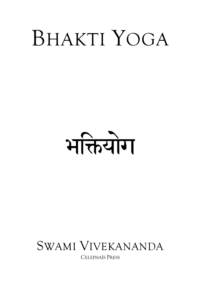# BHAKTI YOGA





CELEPHAÏS PRESS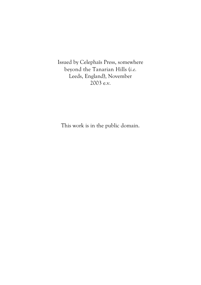Issued by Celephaïs Press, somewhere beyond the Tanarian Hills (*i.e.* Leeds, England), November 2003 e.v.

This work is in the public domain.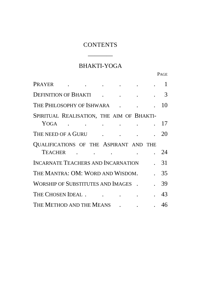#### **CONTENTS**

————

#### BHAKTI-YOGA

PAGE

| PRAYER 1                                  |  |  |  |  |  |  |  |      |  |
|-------------------------------------------|--|--|--|--|--|--|--|------|--|
| DEFINITION OF BHAKTI 3                    |  |  |  |  |  |  |  |      |  |
| THE PHILOSOPHY OF ISHWARA 10              |  |  |  |  |  |  |  |      |  |
| SPIRITUAL REALISATION, THE AIM OF BHAKTI- |  |  |  |  |  |  |  | 17   |  |
| $YOGA$                                    |  |  |  |  |  |  |  |      |  |
| THE NEED OF A GURU                        |  |  |  |  |  |  |  | 20   |  |
| QUALIFICATIONS OF THE ASPIRANT AND THE    |  |  |  |  |  |  |  |      |  |
|                                           |  |  |  |  |  |  |  | 24   |  |
| INCARNATE TEACHERS AND INCARNATION 31     |  |  |  |  |  |  |  |      |  |
| THE MANTRA: OM: WORD AND WISDOM.<br>. 35  |  |  |  |  |  |  |  |      |  |
| WORSHIP OF SUBSTITUTES AND IMAGES .       |  |  |  |  |  |  |  | . 39 |  |
|                                           |  |  |  |  |  |  |  | .43  |  |
| THE METHOD AND THE MEANS .                |  |  |  |  |  |  |  | .46  |  |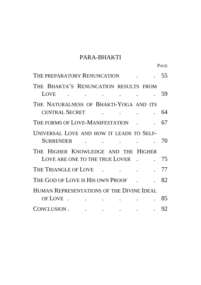#### PARA-BHAKTI

|                                               |                                                                                                                                             |  |  | <b>PAGE</b> |
|-----------------------------------------------|---------------------------------------------------------------------------------------------------------------------------------------------|--|--|-------------|
| THE PREPARATORY RENUNCATION                   |                                                                                                                                             |  |  | 55          |
| THE BHAKTA'S RENUNCATION RESULTS FROM<br>LOVE | the contract of the contract of the contract of the contract of the contract of                                                             |  |  | 59          |
| THE NATURALNESS OF BHAKTI-YOGA AND ITS        |                                                                                                                                             |  |  |             |
|                                               |                                                                                                                                             |  |  | 64          |
| THE FORMS OF LOVE-MANIFESTATION .             |                                                                                                                                             |  |  | 67          |
| UNIVERSAL LOVE AND HOW IT LEADS TO SELF-      |                                                                                                                                             |  |  |             |
| SURRENDER                                     |                                                                                                                                             |  |  | 70          |
| THE HIGHER KNOWLEDGE AND THE HIGHER           |                                                                                                                                             |  |  |             |
| LOVE ARE ONE TO THE TRUE LOVER.               |                                                                                                                                             |  |  | . 75        |
|                                               |                                                                                                                                             |  |  | . 77        |
| THE GOD OF LOVE IS HIS OWN PROOF.             |                                                                                                                                             |  |  | 82          |
| HUMAN REPRESENTATIONS OF THE DIVINE IDEAL     |                                                                                                                                             |  |  |             |
| OF LOVE.                                      | $\mathcal{L}^{\mathcal{A}}$ and $\mathcal{L}^{\mathcal{A}}$ are the set of the set of the set of the set of the $\mathcal{L}^{\mathcal{A}}$ |  |  | 85          |
| CONCLUSION.                                   | $\mathcal{L}^{\mathcal{A}}$ . The contribution of the contribution of the contribution of $\mathcal{L}^{\mathcal{A}}$                       |  |  | 92          |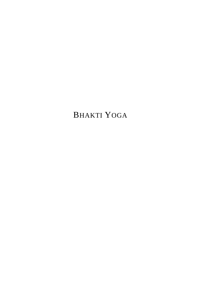### BHAKTI YOGA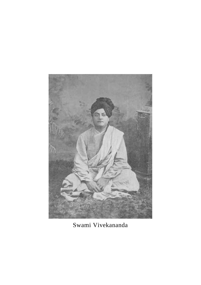

Swami Vivekananda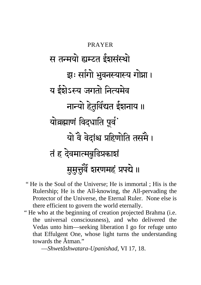## PRAYER स तन्मयो ह्यम्टत ईशसंस्थो झः सांगो भुवनस्यास्य गोप्ना। य ईशेऽस्य जगतो नित्यमेव नान्यो हेतविंद्यत ईशनाय ॥ योव्रह्माणं विद्धाति पूर्व $\dot{\cdot}$ यो वे वेदांश्च प्रहिणोति तसमे । तं ह देवमात्मबुडिप्रकाशं <u>ममत्त</u>वे शरणमहं प्रपद्ये ॥

- " He is the Soul of the Universe; He is immortal ; His is the Rulership; He is the All-knowing, the All-pervading the Protector of the Universe, the Eternal Ruler. None else is there efficient to govern the world eternally.
- " He who at the beginning of creation projected Brahma (i.e. the universal consciousness), and who delivered the Vedas unto him—seeking liberation I go for refuge unto that Effulgent One, whose light turns the understanding towards the Âtman."

—*Shwetâshwatara-Upanishad,* VI 17, 18.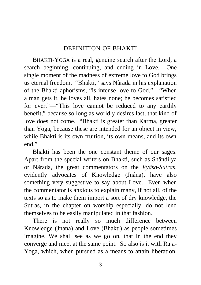#### DEFINITION OF BHAKTI

BHAKTI-YOGA is a real, genuine search after the Lord, a search beginning, continuing, and ending in Love. One single moment of the madness of extreme love to God brings us eternal freedom. "Bhakti," says Nârada in his explanation of the Bhakti-aphorisms, "is intense love to God."—"When a man gets it, he loves all, hates none; he becomes satisfied for ever."—"This love cannot be reduced to any earthly benefit," because so long as worldly desires last, that kind of love does not come. "Bhakti is greater than Karma, greater than Yoga, because these are intended for an object in view, while Bhakti is its own fruition, its own means, and its own end."

Bhakti has been the one constant theme of our sages. Apart from the special writers on Bhakti, such as Shândilya or Nârada, the great commentators on the *Vyâsa-Sutras,*  evidently advocates of Knowledge (Jnâna), have also something very suggestive to say about Love. Even when the commentator is anxious to explain many, if not all, of the texts so as to make them import a sort of dry knowledge, the Sutras, in the chapter on worship especially, do not lend themselves to be easily manipulated in that fashion.

There is not really so much difference between Knowledge (Jnana) and Love (Bhakti) as people sometimes imagine. We shall see as we go on, that in the end they converge and meet at the same point. So also is it with Raja-Yoga, which, when pursued as a means to attain liberation,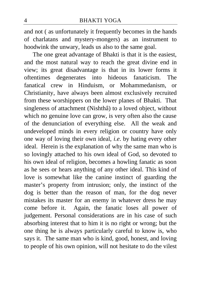and not ( as unfortunately it frequently becomes in the hands of charlatans and mystery-mongers) as an instrument to hoodwink the unwary, leads us also to the same goal.

The one great advantage of Bhakti is that it is the easiest, and the most natural way to reach the great divine end in view; its great disadvantage is that in its lower forms it oftentimes degenerates into hideous fanaticism. The fanatical crew in Hinduism, or Mohammedanism, or Christianity, have always been almost exclusively recruited from these worshippers on the lower planes of Bhakti. That singleness of attachment (Nishthâ) to a loved object, without which no genuine love can grow, is very often also the cause of the denunciation of everything else. All the weak and undeveloped minds in every religion or country have only one way of loving their own ideal, *i.e*. by hating every other ideal. Herein is the explanation of why the same man who is so lovingly attached to his own ideal of God, so devoted to his own ideal of religion, becomes a howling fanatic as soon as he sees or hears anything of any other ideal. This kind of love is somewhat like the canine instinct of guarding the master's property from intrusion; only, the instinct of the dog is better than the reason of man, for the dog never mistakes its master for an enemy in whatever dress he may come before it. Again, the fanatic loses all power of judgement. Personal considerations are in his case of such absorbing interest that to him it is no right or wrong; but the one thing he is always particularly careful to know is, who says it. The same man who is kind, good, honest, and loving to people of his own opinion, will not hesitate to do the vilest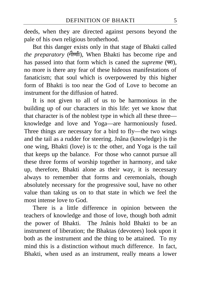deeds, when they are directed against persons beyond the pale of his own religious brotherhood.

But this danger exists only in that stage of Bhakti called *the preparatory* (गोणाी), When Bhakti has become ripe and has passed into that form which is caned the *supreme* (परा), no more is there any fear of these hideous manifestations of fanaticism; that soul which is overpowered by this higher form of Bhakti is too near the God of Love to become an instrument for the diffusion of hatred.

It is not given to all of us to be harmonious in the building up of our characters in this life: yet we know that that character is of the noblest type in which all these three knowledge and love and Yoga—are harmoniously fused. Three things are necessary for a bird to fly—the two wings and the tail as a rudder for steering. Jnâna (knowledge) is the one wing, Bhakti (love) is tc the other, and Yoga is the tail that keeps up the balance. For those who cannot pursue all these three forms of worship together in harmony, and take up, therefore, Bhakti alone as their way, it is necessary always to remember that forms and ceremonials, though absolutely necessary for the progressive soul, have no other value than taking us on to that state in which we feel the most intense love to God.

There is a little difference in opinion between the teachers of knowledge and those of love, though both admit the power of Bhakti. The Jnânis hold Bhakti to be an instrument of liberation; the Bhaktas (devotees) look upon it both as the instrument and the thing to be attained. To my mind this is a distinction without much difference. In fact, Bhakti, when used as an instrument, really means a lower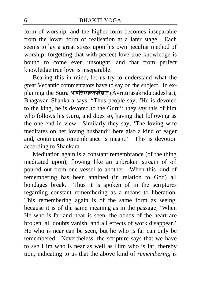form of worship, and the higher form becomes inseparable from the lower form of realisation at a later stage. Each seems to lay a great stress upon his own peculiar method of worship, forgetting that with perfect love true knowledge is bound to come even unsought, and that from perfect knowledge true love is inseparable.

Bearing this in mind, let us try to understand what the great Vedantic commentators have to say on the subject. In explaining the Sutra आव्रत्तिरसकदपदेशात (Âvrittirasakridupadeshat), Bhagavan Shankara says, "Thus people say, 'He is devoted to the king, he is devoted to the Guru'; they say this of him who follows his Guru, and does so, having that following as the one end in view. Similarly they say, 'The loving wife meditates on her loving husband'; here also a kind of eager and, continuous remembrance is meant." This is devotion according to Shankara.

Meditation again is a constant remembrance (of the thing meditated upon), flowing like an unbroken stream of oil poured out from one vessel to another. When this kind of remembering has been attained (in relation to God) all bondages break. Thus it is spoken of in the scriptures regarding constant remembering as a means to liberation. This remembering again is of the same form as seeing, because it is of the same meaning as in the passage, 'When He who is far and near is seen, the bonds of the heart are broken, all doubts vanish, and all effects of work disappear.' He who is near can be seen, but he who is far can only be remembered. Nevertheless, the scripture says that we have to *see* Him who is near as well as Him who is far, thereby tion, indicating to us that the above kind of *remembering* is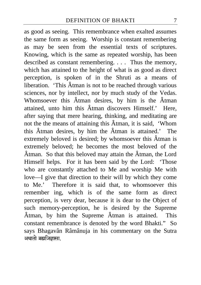as good as seeing. This remembrance when exalted assumes the same form as seeing. Worship is constant remembering as may be seen from the essential texts of scriptures. Knowing, which is the same as repeated worship, has been described as constant remembering. . . . Thus the memory, which has attained to the height of what is as good as direct perception, is spoken of in the Shruti as a means of liberation. 'This Âtman is not to be reached through various sciences, nor by intellect, nor by much study of the Vedas. Whomsoever this Âtman desires, by him is the Âtman attained, unto him this Âtman discovers Himself.' Here, after saying that mere hearing, thinking, and meditating are not the the means of attaining this Âtman, it is said, 'Whom this Âtman desires, by him the Âtman is attained.' The extremely beloved is desired; by whomsoever this Âtman is extremely beloved; he becomes the most beloved of the Âtman. So that this beloved may attain the Âtman, the Lord Himself helps. For it has been said by the Lord: 'Those who are constantly attached to Me and worship Me with love—I give that direction to their will by which they come to Me.' Therefore it is said that, to whomsoever this remember ing, which is of the same form as direct perception, is very dear, because it is dear to the Object of such memory-perception, he is desired by the Supreme Âtman, by him the Supreme Âtman is attained. This constant remembrance is denoted by the word Bhakti." So says Bhagavân Râmânuja in his commentary on the Sutra अथातो ब्रह्मजिज्ञासा.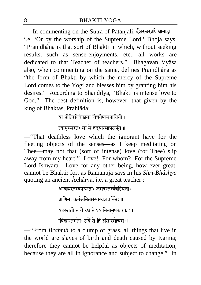In commenting on the Sutra of Patanjali, ईशरश्वरप्रणिधानाहाi.e. 'Or by the worship of the Supreme Lord,' Bhoja says, "Pranidhâna is that sort of Bhakti in which, without seeking results, such as sense-enjoyments, etc., all works are dedicated to that Teacher of teachers." Bhagavan Vyâsa also, when commenting on the same, defines Pranidhâna as "the form of Bhakti by which the mercy of the Supreme Lord comes to the Yogi and blesses him by granting him his desires." According to Shandilya, "Bhakti is intense love to God." The best definition is, however, that given by the king of Bhaktas, Prahlâda:

या प्रीतिरविवेकानां विषयेप्वनपाधिनी $\,$ ।

#### त्वामस्मरतः सा मे हृदयान्मापसर्पत् ॥

—"That deathless love which the ignorant have for the fleeting objects of the senses—as I keep meditating on Thee—may not that (sort of intense) love (for Thee) slip away from my heart!" Love! For whom? For the Supreme Lord Ishwara. Love for any other being, how ever great, cannot be Bhakti; for, as Ramanuja says in his *Shri-Bhâshya*  quoting an ancient Âchârya, i.e. a great teacher :

> आब्रह्मरतम्बपर्घन्ताः जगदन्तर्व्यवस्थिताः । प्राणिनः कर्मजनितसंसारवशवर्तिनः ॥ यतस्ततो न ते ध्घाने ध्यानिनामणकारकाः । ाविद्यान्तर्गताः सर्वे ते हि संसारगोचराः ॥

—"From *Brahmâ* to a clump of grass, all things that live in the world are slaves of birth and death caused by Karma; therefore they cannot be helpful as objects of meditation, because they are all in ignorance and subject to change." In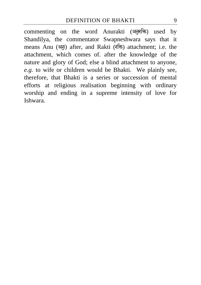commenting on the word Anurakti (अनुरक्ति) used by Shandilya, the commentator Swapneshwara says that it means Anu (अन्न) after, and Rakti (रक्ति) attachment; i.e. the attachment, which comes of. after the knowledge of the nature and glory of God; else a blind attachment to anyone, *e.g.* to wife or children would be Bhakti. We plainly see, therefore, that Bhakti is a series or succession of mental efforts at religious realisation beginning with ordinary worship and ending in a supreme intensity of love for Ishwara.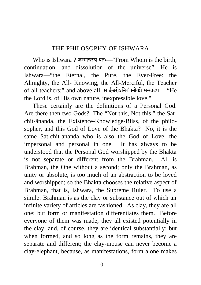#### THE PHILOSOPHY OF ISHWARA

Who is Ishwara ? जन्माद्यस्य यत $=$  "From Whom is the birth, continuation, and dissolution of the universe"—He is Ishwara—"the Eternal, the Pure, the Ever-Free: the Almighty, the All- Knowing, the All-Merciful, the Teacher of all teachers:" and above all. स ईश्वरोऽनिर्वचनीयप्रे मसवढपः—"He the Lord is, of His own nature, inexpressible love."

These certainly are the definitions of a Personal God. Are there then two Gods? The "Not this, Not this," the Satchit-ânanda, the Existence-Knowledge-Bliss, of the philosopher, and this God of Love of the Bhakta? No, it is the same Sat-chit-ananda who is also the God of Love, the impersonal and personal in one. It has always to be understood that the Personal God worshipped by the Bhakta is not separate or different from the Brahman. All is Brahman, the One without a second; only the Brahman, as unity or absolute, is too much of an abstraction to be loved and worshipped; so the Bhakta chooses the relative aspect of Brahman, that is, Ishwara, the Supreme Ruler. To use a simile: Brahman is as the clay or substance out of which an infinite variety of articles are fashioned. As clay, they are all one; but form or manifestation differentiates them. Before everyone of them was made, they all existed potentially in the clay; and, of course, they are identical substantially; but when formed, and so long as the form remains, they are separate and different; the clay-mouse can never become a clay-elephant, because, as manifestations, form alone makes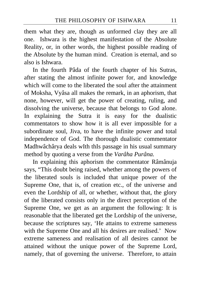them what they are, though as unformed clay they are all one. Ishwara is the highest manifestation of the Absolute Reality, or, in other words, the highest possible reading of the Absolute by the human mind. Creation is eternal, and so also is Ishwara.

In the fourth Pâda of the fourth chapter of his Sutras, after stating the almost infinite power for, and knowledge which will come to the liberated the soul after the attainment of Moksha, Vyâsa all makes the remark, in an aphorism, that none, however, will get the power of creating, ruling, and dissolving the universe, because that belongs to God alone. In explaining the Sutra it is easy for the dualistic commentators to show how it is all ever impossible for a subordinate soul, Jiva, to have the infinite power and total independence of God. The thorough dualistic commentator Madhwâchârya deals wIth thIs passage in his usual summary method by quoting a verse from the *Varâha Purâna.*

In explaining this aphorism the commentator Râmânuja says, "This doubt being raised, whether among the powers of the liberated souls is included that unique power of the Supreme One, that is, of creation etc., of the universe and even the Lordship of all, or whether, without that, the glory of the liberated consists only in the direct perception of the Supreme One, we get as an argument the following: It is reasonable that the liberated get the Lordship of the universe, because the scriptures say, 'He attains to extreme sameness with the Supreme One and all his desires are realised.' Now extreme sameness and realisation of all desires cannot be attained without the unique power of the Supreme Lord, namely, that of governing the universe. Therefore, to attain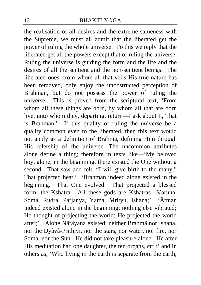the realisation of all desires and the extreme sameness with the Supreme, we must all admit that the liberated get the power of ruling the whole universe. To this we reply that the liberated get all the powers except that of ruling the universe. Ruling the universe is guiding the form and the life and the desires of all the sentient and the non-sentient beings. The liberated ones, from whom all that veils His true nature has been removed, only enjoy the unobstructed perception of Brahman, but do not possess the power of ruling the universe. This is proved from the scriptural text, 'From whom all these things are born, by whom all that are born live, unto whom they, departing, return—I ask about It, That is Brahman.' If this quality of ruling the universe be a quality common even to the liberated, then this text would not apply as a definition of Brahma, defining Him through His rulership of the universe. The uncommon attributes alone define a thing; therefore in texts like—'My beloved boy, alone, in the beginning, there existed the One without a second. That saw and felt: "I will give birth to the many." That projected heat;' 'Brahman indeed alone existed in the beginning. That One evolved. That projected a blessed form, the Kshatra. All these gods are Kshatras—Varuna, Soma, Rudra, Parjanya, Yama, Mrityu, Ishana;' 'Âtman indeed existed alone in the beginning; nothing else vibrated; He thought of projecting the world; He projected the world after;' 'Alone Nârâyana existed; neither Brahmâ nor Ishana, nor the Dyâvâ-Prithivi, nor the stars, nor water, nor fire, nor Soma, nor the Sun. He did not take pleasure alone. He after His meditation had one daughter, the ten organs, *etc*.;' and in others as, 'Who living in the earth is separate from the earth,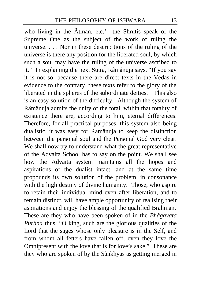who living in the Âtman, etc.'—the Shrutis speak of the Supreme One as the subject of the work of ruling the universe. . . . Nor in these descrip tions of the ruling of the universe is there any position for the liberated soul, by which such a soul may have the ruling of the universe ascribed to it." In explaining the next Sutra, Râmânuja says, "If you say it is not so, because there are direct texts in the Vedas in evidence to the contrary, these texts refer to the glory of the liberated in the spheres of the subordinate deities." This also is an easy solution of the difficulty. Although the system of Râmânuja admits the unity of the total, within that totality of existence there are, according to him, eternal differences. Therefore, for all practical purposes, this system also being dualistic, it was easy for Râmânuja to keep the distinction between the personal soul and the Personal God very clear. We shall now try to understand what the great representative of the Advaita School has to say on the point. We shall see how the Advaita system maintains all the hopes and aspirations of the dualist intact, and at the same time propounds its own solution of the problem, in consonance with the high destiny of divine humanity. Those, who aspire to retain their individual mind even after liberation, and to remain distinct, will have ample opportunity of realising their aspirations and enjoy the blessing of the qualified Brahman. These are they who have been spoken of in the *Bhâgavata Purâna* thus: "O king, such are the glorious qualities of the Lord that the sages whose only pleasure is in the Self, and from whom all fetters have fallen off, even they love the Omnipresent with the love that is for love's sake." These are they who are spoken of by the Sânkhyas as getting merged in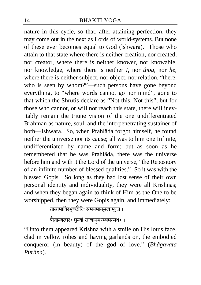nature in this cycle, so that, after attaining perfection, they may come out in the next as Lords of world-systems. But none of these ever becomes equal to God (lshwara). Those who attain to that state where there is neither creation, nor created, nor creator, where there is neither knower, nor knowable, nor knowledge, where there is neither *I,* nor *thou,* nor *he,*  where there is neither subject, nor object, nor relation, "there, who is seen by whom?"—such persons have gone beyond everything, to "where words cannot go nor mind", gone to that which the Shrutis declare as "Not this, Not this"; but for those who cannot, or will not reach this state, there will inevitably remain the triune vision of the one undifferentiated Brahman as nature, soul, and the interpenetrating sustainer of both—Ishwara. So, when Prahlâda forgot himself, he found neither the universe nor its cause; all was to him one Infinite, undifferentiated by name and form; but as soon as he remembered that he was Prahlâda, there was the universe before him and with it the Lord of the universe, "the Repository of an infinite number of blessed qualities." So it was with the blessed Gopis. So long as they had lost sense of their own personal identity and individuality, they were all Krishnas; and when they began again to think of Him as the One to be worshipped, then they were Gopis again, and immediately:

तासामाविरभूच्छौरिः समयमानम़खाम्बज ।

पौताम्बरधरः सूम्वी साचानमन्म्थमन्मथः ॥

"Unto them appeared Krishna with a smile on His lotus face, clad in yellow robes and having garlands on, the embodied conqueror (in beauty) of the god of love." (*Bhâgavata Purâna*).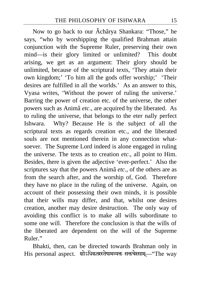Now to go back to our Âchârya Shankara: "Those," he says, "who by worshipping the qualified Brahman attain conjunction with the Supreme Ruler, preserving their own mind—is their glory limited or unlimited? This doubt arising, we get as an argument: Their glory should be unlimited, because of the scriptural texts, 'They attain their own kingdom;' 'To him all the gods offer worship;' 'Their desires are fulfilled in all the worlds.' As an answer to this, Vyasa writes, 'Without the power of ruling the universe.' Barring the power of creation etc. of the universe, the other powers such as Animâ *etc*., are acquired by the liberated. As to ruling the universe, that belongs to the eter nally perfect Ishwara. Why? Because He is the subject of all the scriptural texts as regards creation etc., and the liberated souls are not mentioned therein in any connection whatsoever. The Supreme Lord indeed is alone engaged in ruling the universe. The texts as to creation *etc*., all point to Him. Besides, there is given the adjective 'ever-perfect.' Also the scriptures say that the powers Animâ *etc*., of the others are as from the search after, and the worship of, God. Therefore they have no place in the ruling of the universe. Again, on account of their possessing their own minds, it is possible that their wills may differ, and that, whilst one desires creation, another may desire destruction. The only way of avoiding this conflict is to make all wills subordinate to some one will. Therefore the conclusion is that the wills of the liberated are dependent on the will of the Supreme Ruler."

Bhakti, then, can be directed towards Brahman only in His personal aspect. शोऽधिकतरस्तेषामव्यक्त सक्तचेरसाम्—"The way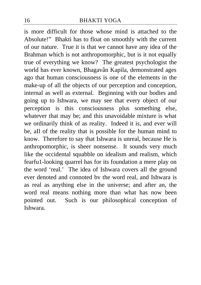is more difficult for those whose mind is attached to the Absolute!" Bhakti has to float on smoothly with the current of our nature. True it is that we cannot have any idea of the Brahman which is not anthropomorphic, but is it not equally true of everything we know? The greatest psychologist the world has ever known, Bhagavân Kapila, demonstrated ages ago that human consciousness is one of the elements in the make-up of all the objects of our perception and conception, internal as well as external. Beginning with our bodies and going up to Ishwara, we may see that every object of our perception is this consciousness plus something else, whatever that may be; and this unavoidable mixture is what we ordinarily think of as reality. Indeed it is, and ever will be, aIl of the reality that is possible for the human mind to know. Therefore to say that Ishwara is unreal, because He is anthropomorphic, is sheer nonsense. It sounds very much like the occidental squabble on idealism and realism, which fearfu1-looking quarrel has for its foundation a mere play on the word 'real.' The idea of Ishwara covers aIl the ground ever denoted and connoted bv the word real, and Ishwara is as real as anything else in the universe; and after an, the word real means nothing more than what has now been pointed out. Such is our philosophical conception of Ishwara.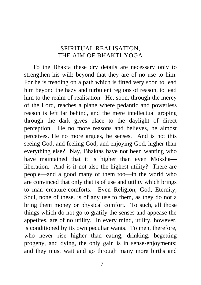#### SPIRITUAL REALISATION, THE AIM OF BHAKTI-YOGA

To the Bhakta these dry details are necessary only to strengthen his will; beyond that they are of no use to him. For he is treading on a path which is fitted very soon to lead him beyond the hazy and turbulent regions of reason, to lead him to the realm of realisation. He, soon, through the mercy of the Lord, reaches a plane where pedantic and powerless reason is left far behind, and the mere intellectual groping through the dark gives place to the daylight of direct perception. He no more reasons and believes, he almost perceives. He no more argues, he senses. And is not this seeing God, and feeling God, and enjoying God, higher than everything else? Nay, Bhaktas have not been wanting who have maintained that it is higher than even Moksha liberation. And is it not also the highest utility? There are people—and a good many of them too—in the world who are convinced that only that is of use and utility which brings to man creature-comforts. Even Religion, God, Eternity, Soul, none of these. is of any use to them, as they do not a bring them money or physical comfort. To such, all those things which do not go to gratify the senses and appease the appetites, are of no utility. In every mind, utility, however, is conditioned by its own peculiar wants. To men, therefore, who never rise higher than eating, drinking. begetting progeny, and dying, the only gain is in sense-enjoyments; and they must wait and go through many more births and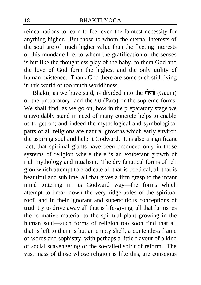reincarnations to learn to feel even the faintest necessity for anything higher. But those to whom the eternal interests of the soul are of much higher value than the fleeting interests of this mundane life, to whom the gratification of the senses is but like the thoughtless play of the baby, to them God and the love of God form the highest and the only utility of human existence. Thank God there are some such still living in this world of too much worldliness.

Bhakti, as we have said, is divided into the  $\hat{\vec{\eta}}$ unti (Gauni) or the preparatory, and the परा (Para) or the supreme forms. We shall find, as we go on, how in the preparatory stage we unavoidably stand in need of many concrete helps to enable us to get on; and indeed the mythological and symbological parts of all religions are natural growths which early environ the aspiring soul and help it Godward. It is also a significant fact, that spiritual giants have been produced only in those systems of religion where there is an exuberant growth of rich mythology and ritualism. The dry fanatical forms of reli gion which attempt to eradicate all that is poeti cal, all that is beautiful and sublime, all that gives a firm grasp to the infant mind tottering in its Godward way—the forms which attempt to break down the very ridge-poles of the spiritual roof, and in their ignorant and superstitious conceptions of truth try to drive away all that is life-giving, all that furnishes the formative material to the spiritual plant growing in the human soul—such forms of religion too soon find that all that is left to them is but an empty shell, a contentless frame of words and sophistry, with perhaps a little flavour of a kind of social scavengering or the so-called spirit of reform. The vast mass of those whose religion is like this, are conscious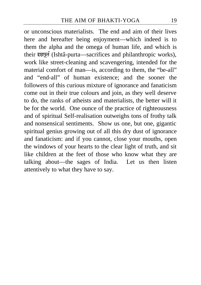or unconscious materialists. The end and aim of their lives here and hereafter being enjoyment—which indeed is to them the alpha and the omega of human life, and which is their इष्टापूर्त (Ishtâ-purta—sacrifices and philanthropic works), work like street-cleaning and scavengering, intended for the material comfort of man—is, according to them, the "be-all" and "end-all" of human existence; and the sooner the followers of this curious mixture of ignorance and fanaticism come out in their true colours and join, as they well deserve to do, the ranks of atheists and materialists, the better will it be for the world. One ounce of the practice of righteousness and of spiritual Self-realisation outweighs tons of frothy talk and nonsensical sentiments. Show us one, but one, gigantic spiritual genius growing out of all this dry dust of ignorance and fanaticism: and if you cannot, close your mouths, open the windows of your hearts to the clear light of truth, and sit like children at the feet of those who know what they are talking about—the sages of India. Let us then listen attentively to what they have to say.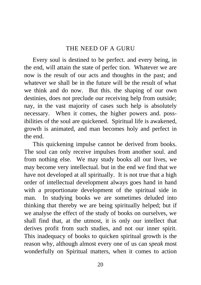#### THE NEED OF A GURU

Every soul is destined to be perfect. and every being, in the end, will attain the state of perfec tion. Whatever we are now is the result of our acts and thoughts in the past; and whatever we shall be in the future will be the result of what we think and do now. But this. the shaping of our own destinies, does not preclude our receiving help from outside; nay, in the vast majority of cases such help is absolutely necessary. When it comes, the higher powers and. possibilities of the soul are quickened. Spiritual life is awakened, growth is animated, and man becomes holy and perfect in the end.

This quickening impulse cannot be derived from books. The soul can only receive impulses from another soul. and from nothing else. We may study books all our lives, we may become very intellectual. but in the end we find that we have not developed at all spiritually. It is not true that a high order of intellectual development always goes hand in hand with a proportionate development of the spiritual side in man. In studying books we are sometimes deluded into thinking that thereby we are being spiritually helped; but if we analyse the effect of the study of books on ourselves, we shall find that, at the utmost, it is only our intellect that derives profit from such studies, and not our inner spirit. This inadequacy of books to quicken spiritual growth is the reason why, although almost every one of us can *speak* most wonderfully on Spiritual matters, when it comes to action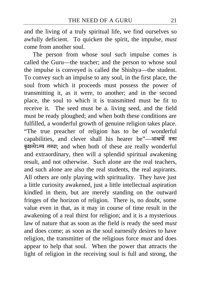and the living of a truly spiritual life, we find ourselves so awfully deficient. To quicken the spirit, the impulse, *must*  come from another soul.

The person from whose soul such impulse comes is called the Guru—the teacher; and the person to whose soul the impulse is conveyed is called the Shishya—the student. To convey such an impulse to any soul, in the first place, the soul from which it proceeds must possess the power of transmitting it, as it were, to another; and in the second place, the soul to which it is transmitted must be fit to receive it. The seed must be a. living seed, and the field must be ready ploughed; and when both these conditions are fulfilled, a wonderful growth of genuine religion takes place. "The true preacher of religion has to be of wonderful capabilities, and clever shall his hearer be"-आश्चर्यों वक्ता क़ुशलोऽम्य लब्धा; and when both of these are really wonderful and extraordinary, then will a splendid spiritual awakening result, and not otherwise. Such alone are the real teachers, and such alone are also the real students, the real aspirants. All others are only playing with spirituality. They have just a little curiosity awakened, just a little intellectual aspiration kindled in them, but are merely standing on the outward fringes of the horizon of religion. There is, no doubt, some value even in that, as it may in course of time result in the awakening of a real thirst for religion; and it is a mysterious law of nature that as soon as the field is ready the seed *must* and does come; as soon as the soul earnestly desires to have religion, the transmitter of the religious force *must* and does appear to help that soul. When the power that attracts the light of religion in the receiving soul is full and strong, the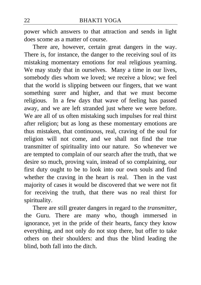power which answers to that attraction and sends in light does scome as a matter of course.

There are, however, certain great dangers in the way. There is, for instance, the danger to the receiving soul of its mistaking momentary emotions for real religious yearning. We may study that in ourselves. Many a time in our lives, somebody dies whom we loved; we receive a blow; we feel that the world is slipping between our fingers, that we want something surer and higher, and that we must become religious. In a few days that wave of feeling has passed away, and we are left stranded just where we were before. We are all of us often mistaking such impulses for real thirst after religion; but as long as these momentary emotions are thus mistaken, that continuous, real, craving of the soul for religion will not come, and we shall not find the true transmitter of spirituality into our nature. So whenever we are tempted to complain of our search after the truth, that we desire so much, proving vain, instead of so complaining, our first duty ought to be to look into our own souls and find whether the craving in the heart is real. Then in the vast majority of cases it would be discovered that we were not fit for receiving the truth, that there was no real thirst for spirituality.

There are still greater dangers in regard to the *transmitter*, the Guru. There are many who, though immersed in ignorance, yet in the pride of their hearts, fancy they know everything, and not only do not stop there, but offer to take others on their shoulders: and thus the blind leading the blind, both fall into the ditch.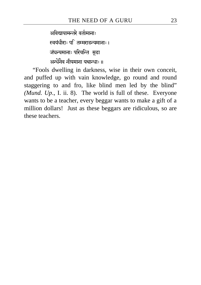$\overline{\phantom{a}}$ अविद्यायामन्तरे वर्तामानाः स्वयंधीराः प**ितम्मराडन्यमानाः** । जंघन्यमानाः परियन्ति मूढा अन्धेनैव नीयमाना यथान्धाः ॥

"Fools dwelling in darkness, wise in their own conceit, and puffed up with vain knowledge, go round and round staggering to and fro, like blind men led by the blind" *(Mund. Up*., I. ii. 8). The world is full of these. Everyone wants to be a teacher, every beggar wants to make a gift of a million dollars! Just as these beggars are ridiculous, so are these teachers.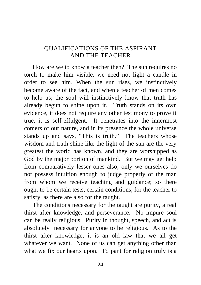#### QUALIFICATIONS OF THE ASPIRANT AND THE TEACHER

How are we to know a teacher then? The sun requires no torch to make him visible, we need not light a candle in order to see him. When the sun rises, we instinctively become aware of the fact, and when a teacher of men comes to help us; the soul will instinctively know that truth has already begun to shine upon it. Truth stands on its own evidence, it does not require any other testimony to prove it true, it is self-effulgent. It penetrates into the innermost comers of our nature, and in its presence the whole universe stands up and says, "This is truth." The teachers whose wisdom and truth shine like the light of the sun are the very greatest the world has known, and they are worshipped as God by the major portion of mankind. But we may get help from comparatively lesser ones also; only we ourselves do not possess intuition enough to judge properly of the man from whom we receive teaching and guidance; so there ought to be certain tests, certain conditions, for the teacher to satisfy, as there are also for the taught.

The conditions necessary for the taught are purity, a real thirst after knowledge, and perseverance. No impure soul can be really religious. Purity in thought, speech, and act is absolutely necessary for anyone to be religious. As to the thirst after knowledge, it is an old law that we all get whatever we want. None of us can get anything other than what we fix our hearts upon. To pant for religion truly is a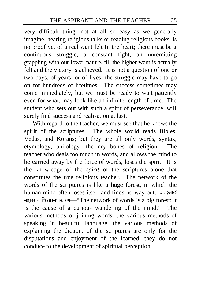very difficult thing, not at all so easy as we generally imagine. hearing religious talks or reading religious books, is no proof yet of a real want felt In the heart; there must be a continuous struggle, a constant fight, an unremitting grappling with our lower nature, till the higher want is actually felt and the victory is achieved. It is not a question of one or two days, of years, or of lives; the struggle may have to go on for hundreds of lifetimes. The success sometimes may come immediately, but we must be ready to wait patiently even for what. may look like an infinite length of time. The student who sets out with such a spirit of perseverance, will surely find success and realisation at last.

With regard to the teacher, we must see that he knows the spirit of the scriptures. The whole world reads Bibles, Vedas, and Korans; but they are all only words, syntax, etymology, philology—the dry bones of religion. The teacher who deals too much in words, and allows the mind to be carried away by the force of words, loses the spirit. It is the knowledge of the *spirit* of the scriptures alone that constitutes the true religious teacher. The network of the words of the scriptures is like a huge forest, in which the human mind often loses itself and finds no way out. शब्दजालं महाररायं चित्तम्रमणकारणं—"The network of words is a big forest; it is the cause of a curious wandering of the mind." The various methods of joining words, the various methods of speaking in beautiful language, the various methods of explaining the diction. of the scriptures are only for the disputations and enjoyment of the learned, they do not conduce to the development of spiritual perception.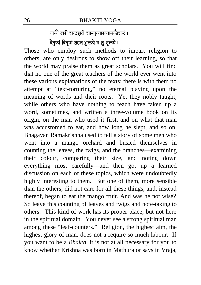#### वान्वे खरी शव्दझरी शाम्तुव्यारव्यानकोशलं।

वेदुष्यं विदुषां तहत भुक्तये न तु नुक्तये ॥

Those who employ such methods to impart religion to others, are only desirous to show off their learning, so that the world may praise them as great scholars. You will find that no one of the great teachers of the world ever went into these various explanations of the texts; there is with them no attempt at "text-torturing," no eternal playing upon the meaning of words and their roots. Yet they nobly taught, while others who have nothing to teach have taken up a word, sometimes, and written a three-volume book on its origin, on the man who used it first, and on what that man was accustomed to eat, and how long he slept, and so on. Bhagavan Ramakrishna used to tell a story of some men who went into a mango orchard and busied themselves in counting the leaves, the twigs, and the branches—examining their colour, comparing their size, and noting down everything most carefully—and then got up a learned discussion on each of these topics, which were undoubtedly highly interesting to them. But one of them, more sensible than the others, did not care for all these things, and, instead thereof, began to eat the mango fruit. And was he not wise? So leave this counting of leaves and twigs and note-taking to others. This kind of work has its proper place, but not here in the spiritual domain. You never see a strong spiritual man among these "leaf-counters." Religion, the highest aim, the highest glory of man, does not a require so much labour. If you want to be a *Bhakta,* it is not at all necessary for you to know whether Krishna was born in Mathura or says in Vraja,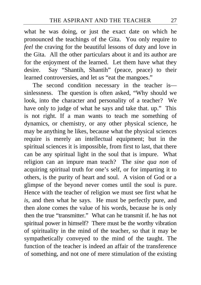what he was doing, or just the exact date on which he pronounced the teachings of the Gita. You only require to *feel* the craving for the beautiful lessons of duty and love in the Gita. All the other particulars about it and its author are for the enjoyment of the learned. Let them have what they desire. Say "Shantih, Shantih" (peace, peace) to their learned controversies, and let *us* "eat the mangoes."

The second condition necessary in the teacher is sinlessness. The question is often asked, "Why should we look, into the character and personality of a teacher? We have only to judge of what he says and take that. up." This is not right. If a man wants to teach me something of dynamics, or chemistry, or any other physical science, he may be anything he likes, because what the physical sciences require is merely an intellectual equipment; but in the spiritual sciences it is impossible, from first to last, that there can be any spiritual light in the soul that is impure. What religion can an impure man teach? The *sine qua non* of acquiring spiritual truth for one's self, or for imparting it to others, is the purity of heart and soul. A vision of God or a glimpse of the beyond never comes until the soul is pure. Hence with the teacher of religion we must see first what he *is*, and then what he says. He must be perfectly pure, and then alone comes the value of his words, because he is only then the true "transmitter." What can he transmit if. he has not spiritual power in himself? There must be the worthy vibration of spirituality in the mind of the teacher, so that it may be sympathetically conveyed to the mind of the taught. The function of the teacher is indeed an affair of the transference of something, and not one of mere stimulation of the existing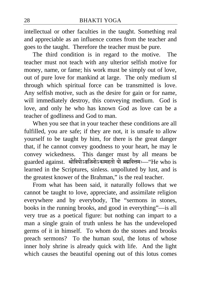intellectual or other faculties in the taught. Something real and appreciable as an influence comes from the teacher and goes to the taught. Therefore the teacher must be pure.

The third condition is in regard to the motive. The teacher must not teach with any ulterior selfish motive for money, name, or fame; his work must be simply out of love, out of pure love for mankind at large. The only medium sI through which spiritual force can be transmitted is love. Any selfish motive, such as the desire for gain or for name, will immediately destroy, this conveying medium. God is love, and only he who has known God as love can be a teacher of godliness and God to man.

When you see that in your teacher these conditions are all fulfilled, you are safe; if they are not, it is unsafe to allow yourself to be taught by him, for there is the great danger that, if he cannot convey goodness to your heart, he may le convey wickedness. This danger must by all means be guarded against. श्रोत्रियोऽवजिनोऽकामहतो यो ब्रह्मवित्तमः- "He who is learned in the Scriptures, sinless. unpolluted by lust, and is the greatest knower of the Brahman," is the real teacher.

From what has been said, it naturally follows that we cannot be taught to love, appreciate, and assimilate religion everywhere and by everybody, The "sermons in stones, books in the running brooks, and good in everything"—is all very true as a poetical figure: but nothing can impart to a man a single grain of truth unless he has the undeveloped germs of it in himself. To whom do the stones and brooks preach sermons? To the human soul, the lotus of whose inner holy shrine is already quick with life. And the light which causes the beautiful opening out of this lotus comes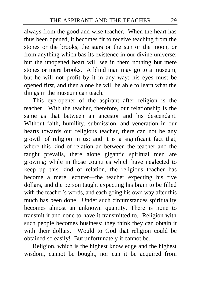always from the good and wise teacher. When the heart has thus been opened, it becomes fit to receive teaching from the stones or the brooks, the stars or the sun or the moon, or from anything which bas its existence in our divine universe; but the unopened heart will see in them nothing but mere stones or mere brooks. A blind man may go to a museum, but he will not profit by it in any way; his eyes must be opened first, and then alone he will be able to learn what the things in the museum can teach.

This eye-opener of the aspirant after religion is the teacher. With the teacher, therefore, our relationship is the same as that between an ancestor and his descendant. Without faith, humility, submission, and veneration in our hearts towards our religious teacher, there can not be any growth of religion in us; and it is a significant fact that, where this kind of relation an between the teacher and the taught prevails, there alone gigantic spiritual men are growing; while in those countries which have neglected to keep up this kind of relation, the religious teacher has become a mere lecturer—the teacher expecting his five dollars, and the person taught expecting his brain to be filled with the teacher's words, and each going his own way after this much has been done. Under such circumstances spirituality becomes almost an unknown quantity. There is none to transmit it and none to have it transmitted to. Religion with such people becomes business: they think they can obtain it with their dollars. Would to God that religion could be obtained so easily! But unfortunately it cannot be.

Religion, which is the highest knowledge and the highest wisdom, cannot be bought, nor can it be acquired from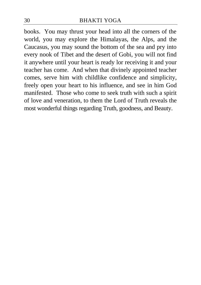books. You may thrust your head into all the corners of the world, you may explore the Himalayas, the Alps, and the Caucasus, you may sound the bottom of the sea and pry into every nook of Tibet and the desert of Gobi, you will not find it anywhere until your heart is ready lor receiving it and your teacher has come. And when that divinely appointed teacher comes, serve him with childlike confidence and simplicity, freely open your heart to his influence, and see in him God manifested. Those who come to seek truth with such a spirit of love and veneration, to them the Lord of Truth reveals the most wonderful things regarding Truth, goodness, and Beauty.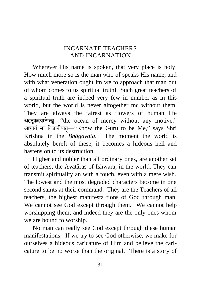## INCARNATE TEACHERS AND INCARNATION

Wherever His name is spoken, that very place is holy. How much more so is the man who of speaks His name, and with what veneration ought im we to approach that man out of whom comes to us spiritual truth! Such great teachers of a spiritual truth are indeed very few in number as in this world, but the world is never altogether mc without them. They are always the fairest as flowers of human life अहतुकदयासिन्धु— "the ocean of mercy without any motive." आचार्य मां विजानीयात—"Know the Guru to be Me," says Shri Krishna in the *Bhâgavata*. The moment the world is absolutely bereft of these, it becomes a hideous hell and hastens on to its destruction.

Higher and nobler than all ordinary ones, are another set of teachers, the Avatâras of Ishwara, in the world. They can transmit spirituality an with a touch, even with a mere wish. The lowest and the most degraded characters become in one second saints at their command. They are the Teachers of all teachers, the highest manifesta tions of God through man. We cannot see God except through them. We cannot help worshipping them; and indeed they are the only ones whom we are bound to worship.

No man can really see God except through these human manifestations. If we try to see God otherwise, we make for ourselves a hideous caricature of Him and believe the caricature to be no worse than the original. There is a story of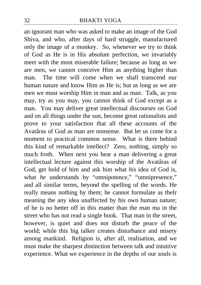an ignorant man who was asked to make an image of the God Shiva, and who, after days of hard struggle, manufactured only the image of a monkey. So, whenever we try to think of God as He is in His absolute perfection, we invariably meet with the most miserable failure; because as long as we are men, we cannot conceive Him as anything higher than man. The time will come when we shall transcend our human nature and know Him as He is; but as long as we are men we must worship Him in man and as man. Talk, as you may, try as you may, you cannot think of God except as a man. You may deliver great intellectual discourses on God and on all things under the sun, become great rationalists and prove to your satisfaction that all these accounts of the Avatâras of God as man are nonsense. But let us come for a moment to practical common sense. What is there behind this kind of remarkable intellect? Zero, nothing, simply so much froth. When next you hear a man delivering a great intellectual lecture against this worship of the Avatâras of God, get hold of him and ask him what *his* idea of God is, what *he* understands by "omnipotence," "omnipresence," and all similar terms, beyond the spelling of the words. He really means nothing by them; he cannot formulate as theIr meaning the any idea unaffected by his own human nature; of he is no better off in this matter than the man ma in the street who has not read a single book. That man in the street, however, is quiet and does not disturb the peace of the world; while this big talker creates disturbance and misery among mankind. Religion is, after all, realisation, and we must make the sharpest distinction between talk and intuitive experience. What we experience in the depths of our souls is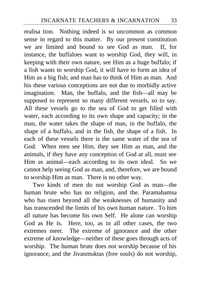realisa tion. Nothing indeed is so uncommon as common sense in regard to this matter. By our present constitution we are limited and bound to see God as man. If, for instance, the buffaloes want to worship God, they will, in keeping with their own nature, see Him as a huge buffalo; if a fish wants to worship God, it will have to form an idea of Him as a big fish; and man has to think of Him as man. And his these various conceptions are not due to morbidly active imagination. Man, the buffalo, and the fish—all may be supposed to represent so many different vessels, so to say. All these vessels go to the sea of God to get filled with water, each according to its own shape and capacity; in the man, the water takes the shape of man, in the buffalo, the shape of a buffalo, and in the fish, the shape of a fish. In each of these vessels there is the same water of the sea of God. When men see Him, they see Him as man, and the animals, if they have any conception of God at all, must see Him as animal—each according to its own ideal. So we cannot help seeing God as man, and, therefore, we are bound to worship Him as man. There is no other way.

Two kinds of men do not worship God as man—the human brute who has no religion, and the. Paramahamsa who has risen beyond all the weaknesses of humanity and has transcended the limits of his own human nature. To him all nature has become his own Self. He alone can worship God as He is. Here, too, as in all other cases, the two extremes meet. The extreme of jgnorance and the other extreme of knowledge—neither of these goes through acts of worship. The human brute does not worship because of his ignorance, and the Jivanmuktas (free souls) do not worship,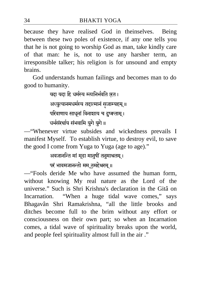because they have realised God in theinselves. Being between these two poles of existence, if any one tells you that he is not going to worship God as man, take kindly care of that man: he is, not to use any harsher term, an irresponsible talker; his religion is for unsound and empty brains.

God understands human failings and becomes man to do good to humanity.

> यदा यदा हि धर्मस्य म्लानिर्भवति ारत। अध्युत्यानमधर्मस्य तदात्मानं सृजाम्यहम् ॥ परिवाणाय साधूनां विनाशाय च दुष्कताम् । धर्भसंरर्थाय संभवामि युगे युगे ॥

—"Whenever virtue subsides and wickedness prevails I manifest Myself. To establish virtue, to destroy evil, to save the good I come from Yuga to Yuga (age to age)."

अवजानन्ति मां मूढा मानुषीं तनुमाश्रतम् ।

परं भावमजानन्तो मम,तमहेश्ररम् ॥

—"Fools deride Me who have assumed the human form, without knowing My real nature as the Lord of the universe." Such is Shri Krishna's declaration in the Gitâ on Incarnation. "When a huge tidal wave comes," says Bhagavân Shri Ramakrishna, "all the little brooks and ditches become full to the brim without any effort or consciousness on their own part; so when an Incarnation comes, a tidal wave of spirituality breaks upon the world, and people feel spirituality almost full in the air ."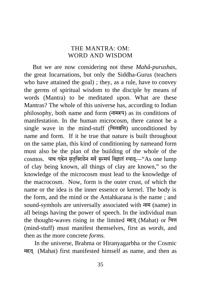## THE MANTRA: OM: WORD AND WISDOM

But we are now considering not these *Mahâ-purushas,*  the great Incarnations, but only the Siddha-Gurus (teachers who have attained the goal) ; they, as a rule, have to convey the germs of spiritual wisdom to the disciple by means of words (Mantra) to be meditated upon. What are these Mantras? The whole of this universe has, according to Indian philosophy, both name and form  $(\overline{n} \overline{n} \overline{\epsilon})$  as its conditions of manifestation. In the human microcosm, there cannot be a single wave in the mind-stuff (चित्तवत्ति) unconditioned by name and form. If it be true that nature is built throughout on the same plan, this kind of conditioning by nameand form must also be the plan of the building of the whole of the cosmos. याथ एकेन म़तपिराडेन मर्वं म़न्मयं विज्ञातं स्यात्—"As one lump of clay being known, all things of clay are known," so the knowledge of the microcosm must lead to the knowledge of the macrocosm. Now, form is the outer crust, of which the name or the idea is the inner essence or kernel. The body is the form, and the mind or the Antahkarana is the name ; and sound-symhols are universally associated with नाम (name) in all beings having the power of speech. In the individual man the thought-waves rising in the limited महतू (Mahat) or चित्त (mind-stuff) must manifest themselves, first as *words,* and then as the more concrete *forms.*

 In the universe, Brahma or Hiranyagarbha or the Cosmic महत (Mahat) first manifested himself as name, and then as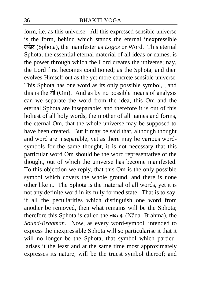form, i.e. as this universe. All this expressed sensible universe is the form, behind which stands the eternal inexpressible सफोट (Sphota), the manifester as *Logos* or Word. This eternal Sphota, the essential eternal material of all ideas or names, is the power through which the Lord creates the universe; nay, the Lord first becomes conditioned; as the Sphota, and then evolves Himself out as the yet more concrete sensible universe. This Sphota has one word as its only possible symbol, , and this is the  $\partial \vec{n}$  (Om). And as by no possible means of analysis can we separate the word from the idea, this Om and the eternal Sphota are inseparable; and therefore it is out of this holiest of all holy words, the mother of all names and forms, the eternal Om, that the whole universe may be supposed to have been created. But it may be said that, although thought and word are inseparable, yet as there may be various wordsymbols for the same thought, it is not necessary that this particular word Om should be the word representative of the thought, out of which the universe has become manifested. To this objection we reply, that this Om is the only possible symbol which covers the whole ground, and there is none other like it. The Sphota is the material of all words, yet it is not any definite word in its fully formed state. That is to say, if all the peculiarities which distinguish one word from another be removed, then what remains will be the Sphota; therefore this Sphota is called the नादब्रह्म (Nâda- Brahma), the *Sound-Brahman*. Now, as every word-symbol, intended to express the inexpressible Sphota will so particularise it that it will no longer be the Sphota, that symbol which particularises it the least and at the same time most approximately expresses its nature, will be the truest symbol thereof; and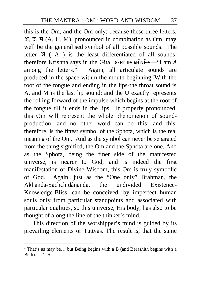this is the Om, and the Om only; because these three letters, अ, उ,  $H(A, U, M)$ , pronounced in combination as Om, may well be the generalised symbol of all possible sounds. The letter  $\mathfrak{A}$  (A) is the least differentiated of all sounds; therefore Krishna says in the Gita, अत्तराणामकारोऽस्मि—"I am  $A$ among the letters."<sup>1</sup> Again, all articulate sounds are produced in the space within the mouth beginning 'With the root of the tongue and ending in the lips-the throat sound is A, and M is the last lip sound; and the U exactly represents the rolling forward of the impulse which begins at the root of the tongue till it ends in the lips. If properly pronounced, this Om will represent the whole phenomenon of soundproduction, and no other word can do this; and this, therefore, is the fittest symbol of the Sphota, which is the real meaning of the Om. And as the symbol can never be separated from the thing signified, the Om and the Sphota are one. And as the Sphota, being the finer side of the manifested universe, is nearer to God, and is indeed the first manifestation of Divine Wisdom, this Om is truly symbolic of God. Again, just as the "One only" Brahman, the Akhanda-Sachchidânanda, the undivided Existence-Knowledge-Bliss, can be conceived. by imperfect human souls only from particular standpoints and associated with particular qualities, so this universe, His body, has also to be thought of along the line of the thinker's mind.

This direction of the worshipper's mind is guided by its prevailing elements or Tattvas. The result is, that the same

 $\overline{a}$ 

<sup>&</sup>lt;sup>1</sup> That's as may be... but Being begins with a B (and Berashith begins with a  $Beth$ . - T.S.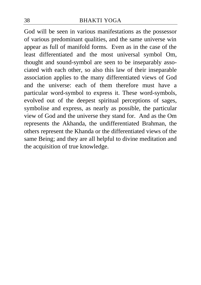God will be seen in various manifestations as the possessor of various predominant qualities, and the same universe win appear as full of manifold forms. Even as in the case of the least differentiated and the most universal symbol Om, thought and sound-symbol are seen to be inseparably associated with each other, so also this law of their inseparable association applies to the many differentiated views of God and the universe: each of them therefore must have a particular word-symbol to express it. These word-symbols, evolved out of the deepest spiritual perceptions of sages, symbolise and express, as nearly as possible, the particular view of God and the universe they stand for. And as the Om represents the Akhanda, the undifferentiated Brahman, the others represent the Khanda or the differentiated views of the same Being; and they are all helpful to divine meditation and the acquisition of true knowledge.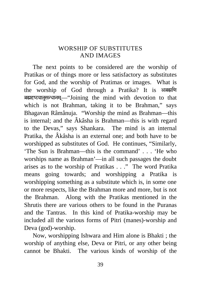## WORSHIP OF SUBSTITUTES AND IMAGES

The next points to be considered are the worship of Pratikas or of things more or less satisfactory as substitutes for God, and the worship of Pratimas or images. What is the worship of God through a Pratika? It is अब्रह्मणि ब्रह्महृष्ट्यानुसन्धानम्—"Joining the mind with devotion to that which is not Brahman, taking it to be Brahman," says Bhagavan Râmânuja. "Worship the mind as Brahman—this is internal; and the Âkâsha is Brahman—this is with regard to the Devas," says Shankara. The mind is an internal Pratika, the Âkâsha is an external one; and both have to be worshipped as substitutes of God. He continues, "Similarly, 'The Sun is Brahman—this is the command' . . . 'He who worships name as Brahman'—in all such passages the doubt arises as to the worship of Pratikas . . ." The word Pratika means going towards; and worshipping a Pratika is worshipping something as a substitute which is, in some one or more respects, like the Brahman more and more, but is not the Brahman. Along with the Pratikas mentioned in the Shrutis there are various others to be found in the Puranas and the Tantras. In this kind of Pratika-worship may be included all the various forms of Pitri (manes)-worship and Deva (god)-worship.

Now, worshipping Ishwara and Him alone is Bhakti ; the worship of anything else, Deva or Pitri, or any other being cannot be Bhakti. The various kinds of worship of the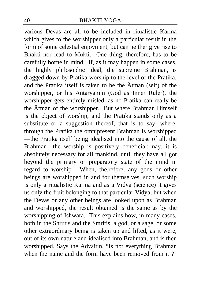various Devas are all to be included in ritualistic Karma which gives to the worshipper only a particular result in the form of some celestial enjoyment, but can neither give rise to Bhakti nor lead to Mukti. One thing, therefore, has to be carefully borne in mind. If, as it may happen in some cases, the highly philosophic ideal, the supreme Brahman, is dragged down by Pratika-worship to the level of the Pratika, and the Pratika itself is taken to be the Âtman (self) of the worshipper, or his Antaryâmin (God as Inner Ruler), the worshipper gets entirely misled, as no Pratika can really be the Âtman of the worshipper. But where Brahman Himself is the object of worship, and the Pratika stands only as a substitute or a suggestion thereof, that is to say, where, through the Pratika the omnipresent Brahman is worshipped —the Pratika itself being idealised into the cause of all, the Brahman—the worship is positively beneficial; nay, it is absolutely necessary for all mankind, until they have all got beyond the primary or preparatory state of the mind in regard to worship. When, the.refore, any gods or other beings are worshipped in and for themselves, such worship is only a ritualistic Karma and as a Vidya (science) it gives us only the fruit belonging to that particular Vidya; but when the Devas or any other beings are looked upon as Brahman and worshipped, the result obtained is the same as by the worshipping of Ishwara. This explains how, in many cases, both in the Shrutis and the Smritis, a god, or a sage, or some other extraordinary being is taken up and lifted, as it were, out of its own nature and idealised into Brahman, and is then worshipped. Says the Advaitin, "Is not everything Brahman when the name and the form have been removed from it ?"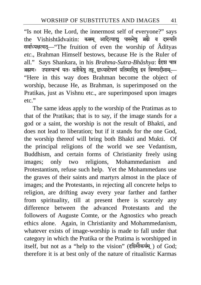"Is not He, the Lord, the innermost self of everyone?" says the Vishishtâdvaitin: कलम् आदित्याद्य पासनेषु बह्रै व दास्यति सर्वाध्यक्षत्वत्—"The fruition of even the worship of Adityas *etc*., Brahman Himself bestows, because He is the Ruler of all." Says Shankara, in his *Brahma-Sutra-Bhâshya*: ईहश चात्र ब्रह्मणः उपास्यत्चं यतः प्रतीकेषु तट्ट, ष्टाध्यारोपणं प्रतिमादिषु इव विष्णादीनाम्— "Here in this way does Brahman become the object of worship, because He, as Brahman, is superimposed on the Pratikas, just as Vishnu etc., are superimposed upon images etc."

The same ideas apply to the worship of the Pratimas as to that of the Pratikas; that is to say, if the image stands for a god or a saint, the worship is not the result of Bhakti, and does not lead to liberation; but if it stands for the one God, the worship thereof will bring both Bhakti and Mukti. Of the principal religions of the world we see Vedantism, Buddhism, and certain forms of Christianity freely using images; only two religions, Mohammedanism and Protestantism, refuse such help. Yet the Mohammedans use the graves of their saints and martyrs almost in the place of images; and the Protestants, in rejecting all concrete helps to religion, are drifting away every year farther and farther from spirituality, till at present there is scarcely any difference between the advanced Protestants and the followers of Auguste Comte, or the Agnostics who preach ethics alone. Again, in Christianity and Mohammedanism, whatever exists of image-worship is made to fall under that category in which the Pratika or the Pratima is worshipped in itself, but not as a "help to the vision" (दृष्टिसौकर्यम्) of God; therefore it is at best only of the nature of ritualistic Karmas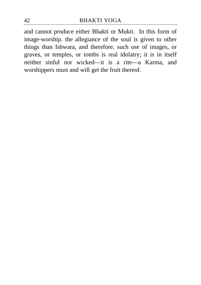and cannot produce either Bhakti or Mukti. In this form of image-worship. the allegiance of the soul is given to other things than Ishwara, and therefore. such use of images, or graves, or temples, or tombs is real idolatry; it is in itself neither sinful nor wicked—it is a rite—a Karma, and worshippers must and will get the fruit thereof.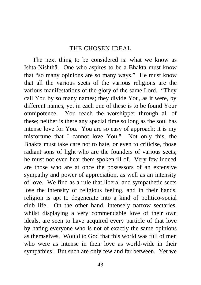#### THE CHOSEN IDEAL

The next thing to be considered is. what we know as Ishta-Nishthâ. One who aspires to be a Bhakta must know that "so many opinions are so many ways." He must know that all the various sects of the various religions are the various manifestations of the glory of the same Lord. "They call You by so many names; they divide You, as it were, by different names, yet in each one of these is to be found Your omnipotence. You reach the worshipper through all of these; neither is there any special time so long as the soul has intense love for You. You are so easy of approach; it is my misfortune that I cannot love You." Not only this, the Bhakta must take care not to hate, or even to criticise, those radiant sons of light who are the founders of various sects; he must not even hear them spoken ill of. Very few indeed are those who are at once the possessors of an extensive sympathy and power of appreciation, as well as an intensity of love. We find as a rule that liberal and sympathetic sects lose the intensity of religious feeling, and in their hands, religion is apt to degenerate into a kind of politico-social club life. On the other hand, intensely narrow sectaries, whilst displaying a very commendable love of their own ideals, are seen to have acquired every particle of that love by hating everyone who is not of exactly the same opinions as themselves. Would to God that this world was full of men who were as intense in their love as world-wide in their sympathies! But such are only few and far between. Yet we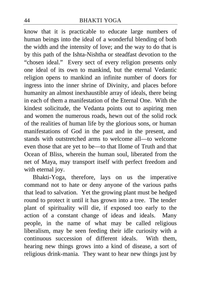know that it is practicable to educate large numbers of human beings into the ideal of a wonderful blending of both the width and the intensity of love; and the way to do that is by this path of the Ishta-Nishtha or steadfast devotion to the "chosen ideal." Every sect of every religion presents only one ideal of its own to mankind, but the eternal Vedantic religion opens to mankind an infinite number of doors for ingress into the inner shrine of Divinity, and places before humanity an almost inexhaustible array of ideals, there being in each of them a manifestation of the Eternal One. With the kindest solicitude, the Vedanta points out to aspiring men and women the numerous roads, hewn out of the solid rock of the realities of human life by the glorious sons, or human manifestations of God in the past and in the present, and stands with outstretched arms to welcome all—to welcome even those that are yet to be—to that IIome of Truth and that Ocean of Bliss, wherein the human soul, liberated from the net of Maya, may transport itself with perfect freedom and with eternal joy.

Bhakti-Yoga, therefore, lays on us the imperative command not to hate or deny anyone of the various paths that lead to salvation. Yet the growing plant must be hedged round to protect it until it has grown into a tree. The tender plant of spirituality will die, if exposed too early to the action of a constant change of ideas and ideals. Many people, in the name of what may be called religious liberalism, may be seen feeding their idle curiosity with a continuous succession of different ideals. With them, hearing new things grows into a kind of disease, a sort of religious drink-mania. They want to hear new things just by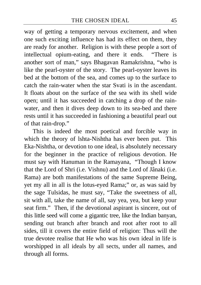way of getting a temporary nervous excitement, and when one such exciting influence has had its effect on them, they are ready for another. Religion is with these people a sort of intellectual opium-eating, and there it ends. "There is another sort of man," says Bhagavan Ramakrishna, "who is like the pearl-oyster of the story. The pearl-oyster leaves its bed at the bottom of the sea, and comes up to the surface to catch the rain-water when the star Svati is in the ascendant. It floats about on the surface of the sea with its shell wide open; until it has succeeded in catching a drop of the rainwater, and then it dives deep down to its sea-bed and there rests until it has succeeded in fashioning a beautiful pearl out of that rain-drop."

This is indeed the most poetical and forcible way in which the theory of lshta-Nishtha has ever been put. This Eka-Nishtha, or devotion to one ideal, is absolutely necessary for the beginner in the practice of religious devotion. He must say with Hanuman in the Ramayana, "Though I know that the Lord of Shri (i.e. Vishnu) and the Lord of Jânaki (i.e. Rama) are both manifestations of the same Supreme Being, yet my all in all is the lotus-eyed Rama;" or, as was said by the sage Tulsidas, he must say, "Take the sweetness of all, sit with all, take the name of all, say yea, yea, but keep your seat firm." Then, if the devotional aspirant is sincere, out of this little seed will come a gigantic tree, like the Indian banyan, sending out branch after branch and root after root to all sides, till it covers the entire field of religion: Thus will the true devotee realise that He who was his own ideal in life is worshipped in all ideals by all sects, under all names, and through all forms.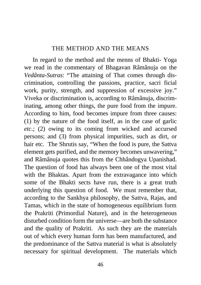#### THE METHOD AND THE MEANS

In regard to the method and the menns of Bhakti- Yoga we read in the commentary of Bhagavan Râmânuja on the *Vedânta-Sutras*: "The attaining of That comes through discrimination, controlling the passions, practice, sacri ficial work, purity, strength, and suppression of excessive joy." Viveka or discrimination is, according to Râmânuja, discriminating, among other things, the pure food from the impure. According to him, food becomes impure from three causes: (1) by the nature of the food itself, as in the case of garlic *etc*.; (2) owing to its coming from wicked and accursed persons; and (3) from physical impurities, such as dirt, or hair etc. The Shrutis say, "When the food is pure, the Sattva element gets purified, and the memory becomes unwavering," and Râmânuja quotes this from the Chhândogya Upanishad. The question of food has always been one of the most vital with the Bhaktas. Apart from the extravagance into which some of the Bhakti sects have run, there is a great truth underlying this question of food. We must remember that, according to the Sankhya philosophy, the Sattva, Rajas, and Tamas, which in the state of homogeneous equilibrium form the Prakriti (Primordial Nature), and in the heterogeneous disturbed condition form the universe—are both the substance and the quality of Prakriti. As such they are the materials out of which every human form has been manufactured, and the predominance of the Sattva material is what is absolutely necessary for spiritual development. The materials which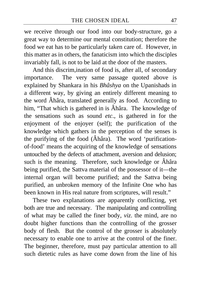we receive through our food into our body-structure, go a great way to determine our mental constitution; therefore the food we eat has to be particularly taken care of. However, in this matter as in others, the fanaticism into which the disciples invariably fall, is not to be laid at the door of the masters.

And this discrim,ination of food is, after all, of secondary importance. The very same passage quoted above is explained by Shankara in his *Bhâshya* on the Upanishads in a different way, by giving an entirely different meaning to the word Âhâra, translated generally as food. According to him, "That which is gathered in is Âhâra. The knowledge of the sensations such as sound *etc*., is gathered in for the enjoyment of the enjoyer (self); the purification of the knowledge which gathers in the perception of the senses is the purifying of the food (Âhâra). The word 'purificationof-food' means the acquiring of the knowledge of sensations untouched by the defects of attachment, aversion and delusion; such is the meaning. Therefore, such knowledge or Âhâra being purified, the Sattva material of the possessor of it—the internal organ will become purified; and the Sattva being purified, an unbroken memory of the Infinite One who has been known in His real nature from scriptures, will result."

These two explanations are apparently conflicting, yet both are true and necessary. The manipulating and controlling of what may be called the finer body, *viz*. the mind, are no doubt higher functions than the controlling of the grosser body of flesh. But the control of the grosser is absolutely necessary to enable one to arrive at the control of the finer. The beginner, therefore, must pay particular attention to all such dietetic rules as have come down from the line of his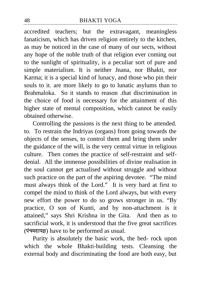accredited teachers; but the extravagant, meaningless fanaticism, which has driven religion entirely to the kitchen, as may be noticed in the case of many of our sects, without any hope of the noble truth of that religion ever coming out to the sunlight of spirituality, is a peculiar sort of pure and simple materialism. It is neither Jnana, nor Bhakti, nor Karma; it is a special kind of lunacy, and those who pin their souls to it. are more likely to go to lunatic asylums than to Brahmaloka. So it stands to reason .that discrimination in the choice of food is necessary for the attainment of this higher state of mental composition, which cannot be easily obtained otherwise.

Controlling the passions is the next thing to be attended. to. To restrain the Indriyas (organs) from going towards the objects of the senses, to control them and bring them under the guidance of the will, is the very central virtue in religious culture. Then comes the practice of self-restraint and selfdenial. All the immense possibilities of divine realisation in the soul cannot get actualised without struggle and without such practice on the part of the aspiring devotee. "The mind must always think of the Lord." It is very hard at first to compel the mind to think of the Lord always, but with every new effort the power to do so grows stronger in us. "By practice, O son of Kunti, and by non-attachment is it attained," says Shri Krishna in the Gita. And then as to sacrificial work, it is understood that the five great sacrifices (पंचमहायज्ञ) have to be performed as usual.

Purity is absolutely the basic work, the bed- rock upon which the whole Bhakti-building tests. Cleansing the external body and discriminating the food are both easy, but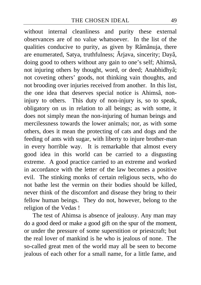without internal cleanliness and purity these external observances are of no value whatsoever. In the list of the qualities conducive to purity, as given by Râmânuja, there are enumerated, Satya, truthfulness; Ârjava, sincerity; Dayâ, doing good to others without any gain to one's self; Ahimsâ, not injuring others by thought, word, or deed; Anabhidhyâ; not coveting others' goods, not thinking vain thoughts, and not brooding over injuries received from another. In this list, the one idea that deserves special notice is Ahimsâ, noninjury to others. This duty of non-injury is, so to speak, obligatory on us in relation to all beings; as with some, it does not simply mean the non-injuring of human beings and mercilessness towards the lower animals; nor, as with some others, does it mean the protecting of cats and dogs and the feeding of ants with sugar, with liberty to injure brother-man in every horrible way. It is remarkable that almost every good idea in this world can be carried to a disgusting extreme. A good practice carried to an extreme and worked in accordance with the letter of the law becomes a positive evil. The stinking monks of certain religious sects, who do not bathe lest the vermin on their bodies should be killed, never think of the discomfort and disease they bring to their fellow human beings. They do not, however, belong to the religion of the Vedas !

The test of Ahimsa is absence of jealousy. Any man may do a good deed or make a good gift on the spur of the moment, or under the pressure of some superstition or priestcraft; but the real lover of mankind is he who is jealous of none. The so-called great men of the world may all be seen to become jealous of each other for a small name, for a little fame, and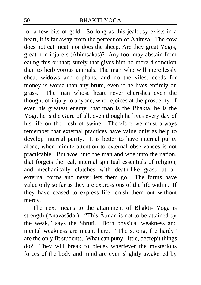for a few bits of gold. So long as this jealousy exists in a heart, it is far away from the perfection of Ahimsa. The cow does not eat meat, nor does the sheep. Are they great Yogis, great non-injurers (Ahimsakas)? Any fool may abstain from eating this or that; surely that gives him no more distinction than to herbivorous animals. The man who will mercilessly cheat widows and orphans, and do the vilest deeds for money is worse than any brute, even if he lives entirely on grass. The man whose heart never cherishes even the thought of injury to anyone, who rejoices at the prosperity of even his greatest enemy, that man is the Bhakta, he is the Yogi, he is the Guru of all, even though he lives every day of his life on the flesh of swine. Therefore we must always remember that external practices have value only as help to develop internal purity. It is better to have internal purity alone, when minute attention to external observances is not practicable. But woe unto the man and woe unto the nation, that forgets the real, internal spiritual essentials of religion, and mechanically clutches with death-like grasp at all external forms and never lets them go. The forms have value only so far as they are expressions of the life within. If they have ceased to express life, crush them out without mercy.

The next means to the attainment of Bhakti- Yoga is strength (Anavasâda ). "This Âtman is not to be attained by the weak," says the Shruti. Both physical weakness and mental weakness are meant here. "The strong, the hardy" are the only fit students. What can puny, little, decrepit things do? They will break to pieces wherfever the mysterious forces of the body and mind are even slightly awakened by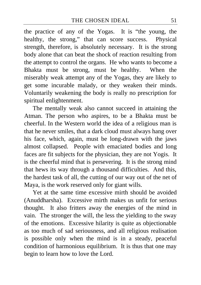the practice of any of the Yogas. It is "the young, the healthy, the strong," that can score success. Physical strength, therefore, is absolutely necessary. It is the strong body alone that can beat the shock of reaction resulting from the attempt to control the organs. He who wants to become a Bhakta must be strong, must be healthy. When the miserably weak attempt any of the Yogas, they are likely to get some incurable malady, or they weaken their minds. Voluntarily weakening the body is really no prescription for spiritual enlightenment.

The mentally weak also cannot succeed in attaining the Atman. The person who aspires, to be a Bhakta must be cheerful. In the Western world the idea of a religious man is that he never smiles, that a dark cloud must always hang over his face, which, again, must be long-drawn with the jaws almost collapsed. People with emaciated bodies and long faces are fit subjects for the physician, they are not Yogis. It is the cheerful mind that is persevering. It is the strong mind that hews its way through a thousand difficulties. And this, the hardest task of all, the cutting of our way out of the net of Maya, is the work reserved only for giant wills.

Yet at the same time excessive mirth should be avoided (Anuddharsha). Excessive mirth makes us unfit for serious thought. It also fritters away the energies of the mind in vain. The stronger the will, the less the yielding to the sway of the emotions. Excessive hilarity is quite as objectionable as too much of sad seriousness, and all religious realisation is possible only when the mind is in a steady, peaceful condition of harmonious equilibrium. It is thus that one may begin to learn how to love the Lord.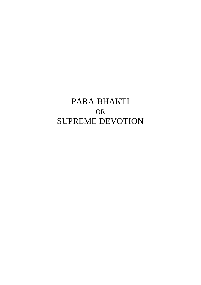# PARA-BHAKTI OR SUPREME DEVOTION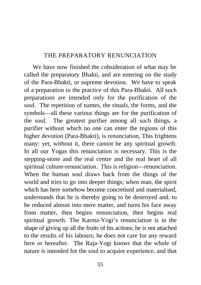# THE PREPARATORY RENUNCIATION

We have now finished the cobsideration of what may be called the preparatory Bhakti, and are entering on the study of the Para-Bhakti, or supreme devotion. We have to speak of a preparation to the practice of this Para-Bhakti. All such preparations are intended only for the purification of the soul. The repetition of names, the rituals, the forms, and the symbols—all these various things are for the purification of the soul. The greatest purifier among all such things, a purifier without which no one can enter the regions of this higher devotion (Para-Bhakti), is renunciation, This frightens many: yet, without it, there cannot be any spiritual growth. In all our Yogas this renunciation is necessary. This is the stepping-stone and the real centre and the real heart of all spiritual culture-renunciation. This is religion—renunciation. When the human soul draws back from the things of the world and tries to go into deeper things; when man, the spirit which has here somehow become concretised and materialised, understands that he is thereby going to be destroyed and. to be reduced almost into mere matter, and turns his face away from matter, then begins renunciation, then begins real spiritual growth. The Karma-Yogi's renunciation is in the shape of giving up all the fruits of his actions; he is not attached to the results of his labours; he does not care for any reward here or hereafter. The Raja-Yogi knows that the whole of nature is intended for the soul to acquire experience, and that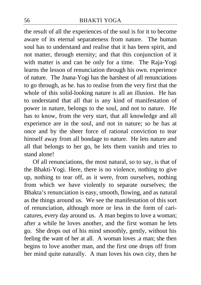the result of all the experiences of the soul is for it to become aware of its eternal separateness from nature. The human soul has to understand and realise that it has been spirit, and not matter, through eternity; and that this conjunction of it with matter is and can be only for a time. The Raja-Yogi learns the lesson of renunciation through his own. experience of nature. The Jnana-Yogi has the harshest of all renunciations to go through, as he. has to realise from the very first that the whole of this solid-looking nature is all an illusion. He has to understand that all that is any kind of manifestation of power in nature, belongs to the soul, and not to nature. He has to know, from the very start, that all knowledge and all experience are in the soul, and not in nature; so he has at once and by the sheer force of rational conviction to tear himself away from all bondage to nature. He lets nature and all that belongs to her go, he lets them vanish and tries to stand alone!

Of all renunciations, the most natural, so to say, is that of the Bhakti-Yogi. Here, there is no violence, nothing to give up, nothing to tear off, as it were, from ourselves, nothing from which we have violently to separate ourselves; the Bhakta's renunciation is easy, smooth, flowing, and as natural as the things around us. We see the manifestation of this sort of renunciation, although more or less in the form of caricatures, every day around us. A man begins to love a woman; after a while he loves another, and the first woman he lets go. She drops out of his mind smoothly, gently, without his feeling the want of her at all. A woman loves .a man; she then begins to love another man, and the first one drops off from her mind quite naturally. A man loves his own city, then he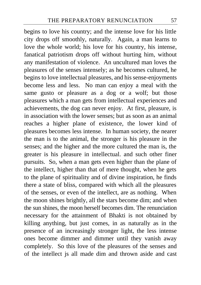begins to love his country; and the intense love for his little city drops off smoothly, naturally. Again, a man learns to love the whole world; his love for his country, his intense, fanatical patriotism drops off without hurting him, without any manifestation of violence. An uncultured man loves the pleasures of the senses intensely; as he becomes cultured, he begins to love intellectual pleasures, and his sense-enjoyments become less and less. No man can enjoy a meal with the same gusto or pleasure as a dog or a wolf; but those pleasures which a man gets from intellectual experiences and achievements, the dog can never enjoy. At first, pleasure, is in association with the lower senses; but as soon as an animal reaches a higher plane of existence, the lower kind of pleasures becomes less intense. In human society, the nearer the man is to the animal, the stronger is his pleasure in the senses; and the higher and the more cultured the man is, the greater is his pleasure in intellectual. and such other finer pursuits. So, when a man gets even higher than the plane of the intellect, higher than that of mere thought, when he gets to the plane of spirituality and of divine inspiration, he finds there a state of bliss, compared with which all the pleasures of the senses, or even of the intellect, are as nothing. When the moon shines brightly, all the stars become dim; and when the sun shines, the moon herself becomes dim. The renunciation necessary for the attainment of Bhakti is not obtained by killing anything, but just comes, in as naturally as in the presence of an increasingly stronger light, the less intense ones become dimmer and dimmer until they vanish away completely. So this love of the pleasures of the senses and of the intellect js all made dim and thrown aside and cast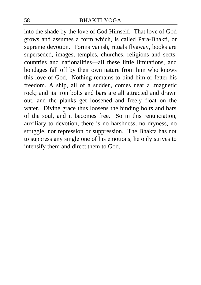into the shade by the love of God Himself. That love of God grows and assumes a form which, is called Para-Bhakti, or supreme devotion. Forms vanish, rituals flyaway, books are superseded, images, temples, churches, religions and sects, countries and nationalities—all these little limitations, and bondages fall off by their own nature from him who knows this love of God. Nothing remains to bind him or fetter his freedom. A ship, all of a sudden, comes near a .magnetic rock; and its iron bolts and bars are all attracted and drawn out, and the planks get loosened and freely float on the water. Divine grace thus loosens the binding bolts and bars of the soul, and it becomes free. So in this renunciation, auxiliary to devotion, there is no harshness, no dryness, no struggle, nor repression or suppression. The Bhakta has not to suppress any single one of his emotions, he only strives to intensify them and direct them to God.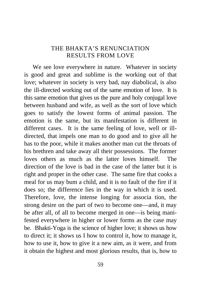## THE BHAKTA'S RENUNCIATION RESULTS FROM LOVE

We see love everywhere in nature. Whatever in society is good and great and sublime is the working out of that love; whatever in society is very bad, nay diabolical, is also the ill-directed working out of the same emotion of love. It is this same emotion that gives us the pure and holy conjugal love between husband and wife, as well as the sort of love which goes to satisfy the lowest forms of animal passion. The emotion is the same, but its manifestation is different in different cases. It is the same feeling of love, well or illdirected, that impels one man to do good and to give all he has to the poor, while it makes another man cut the throats of his brethren and take away all their possessions. The former loves others as much as the latter loves himself. The direction of the love is bad in the case of the latter but it is right and proper in the other case. The same fire that cooks a meal for us may bum a child, and it is no fault of the fire if it does so; the difference lies in the way in which it is used. Therefore, love, the intense longing for associa tion, the strong desire on the part of two to become one—and, it may be after all, of all to become merged in one—is being manifested everywhere in higher or lower forms as the case may be. Bhakti-Yoga is the science of higher love; it shows us how to direct it; it shows us I how to control it, how to manage it, how to use it, how to give it a new aim, as it were, and from it obtain the highest and most glorious results, that is, how to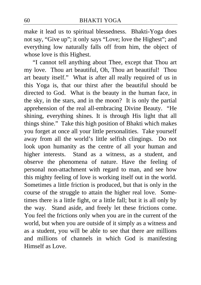make it lead us to spiritual blessedness. Bhakti-Yoga does not say, "Give up"; it only says "Love; love the Highest"; and everything low naturally falls off from him, the object of whose love is this Highest.

"I cannot tell anything about Thee, except that Thou art my love. Thou art beautiful, Oh, Thou art beautiful! Thou art beauty itself." What is after all really required of us in this Yoga is, that our thirst after the beautiful should be directed to God. What is the beauty in the human face, in the sky, in the stars, and in the moon? It is only the partial apprehension of the real all-embracing Divine Beauty. "He shining, everything shines. It is through His light that all things shine." Take this high position of Bhakti which makes you forget at once all your little personalities. Take yourself away from all the world's little selfish clingings. Do not look upon humanity as the centre of all your human and higher interests. Stand as a witness, as a student, and observe the phenomena of nature. Have the feeling of personal non-attachment with regard to man, and see how this mighty feeling of love is working itself out in the world. Sometimes a little friction is produced, but that is only in the course of the struggle to attain the higher real love. Sometimes there is a little fight, or a little fall; but it is all only by the way. Stand aside, and freely let these frictions come. You feel the frictions only when you are in the current of the world, but when you are outside of it simply as a witness and as a student, you will be able to see that there are millions and millions of channels in which God is manifesting Himself as Love.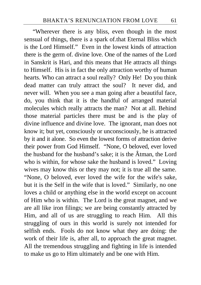"Wherever there is any bliss, even though in the most sensual of things, there is a spark of.that Eternal Bliss which is the Lord Himself." Even in the lowest kinds of attraction there is the germ of. divine love. One of the names of the Lord in Sanskrit is Hari, and this means that He attracts all things to Himself. His is in fact the only attraction worthy of human hearts. Who can attract a soul really? Only He! Do you think dead matter can truly attract the soul? It never did, and never will. When you see a man going after a beautiful face, do, you think that it is the handful of arranged material molecules which really attracts the man? Not at all. Behind those material particles there must be and is the play of divine influence and divine love. The ignorant, man does not know it; but yet, consciously or unconsciously, he is attracted by it and it alone. So even the lowest forms of attraction derive their power from God Himself. "None, O beloved, ever loved the husband for the husband's sake; it is the Âtman, the Lord who is within, for whose sake the husband is loved." Loving wives may know this or they may not; it is true all the same. "None, O beloved, ever loved the wife for the wife's sake, but it is the Self in the wife that is loved." Similarly, no one loves a child or anything else in the world except on account of Him who is within. The Lord is the great magnet, and we are all like iron filings; we are being constantly attracted by Him, and all of us are struggling to reach Him. All this struggling of ours in this world is surely not intended for selfish ends. Fools do not know what they are doing: the work of their life is, after all, to approach the great magnet. All the tremendous struggling and fighting in life is intended to make us go to Him ultimately and be one with Him.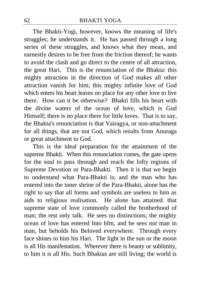The Bhakti-Yogi, however, knows the meaning of life's struggles; he understands it. He has passed through a long series of these struggles, and knows what they mean, and earnestly desires to be free from the friction thereof; he wants to avoid the clash and go direct to the centre of all attraction, the great Hari. This is the renunciation of the Bhakta: this mighty attraction in the direction of God makes all other attraction vanish for him; this mighty infinite love of God which enters his heart leaves no place for any other love to live there. How can it be otherwise? Bhakti fills his heart with the divine waters of the ocean of love, which is God Himself; there is no place there for little loves. That is to say, the Bhakta's renunciation is that Vairagya, or non-attachment for all things, that are not God, which results from Anuraga or great attachment to God.

This is the ideal preparation for the attainment of the supreme Bhakti. When this renunciation comes, the gate opens for the soul to pass through and reach the lofty regions of Supreme Devotion or Para-Bhakti. Then it is that we begin to understand what Para-Bhakti is; and the man who has entered into the inner shrine of the Para-Bhakti, alone has the right to say that all forms and symbols are useless to him as aids to religious realisation. He alone has attained. that supreme state of love commonly called the brotherhood of man; the rest only talk. He sees no distinctions; the mighty ocean of love has entered Into hIm, and he sees not man in man, but beholds his Beloved everywhere. Through every face shines to him his Hari. The light in the sun or the moon is all His manifestation. Wherever there is beauty or sublimity, to him it is all His. Such Bhaktas are still living; the world is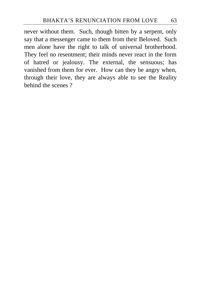never without them. Such, though bitten by a serpent, only say that a messenger came to them from their Beloved. Such men alone have the right to talk of universal brotherhood. They feel no resentment; their minds never react in the form of hatred or jealousy. The external, the sensuous; has vanished from them for ever. How can they be angry when, through their love, they are always able to see the Reality behind the scenes ?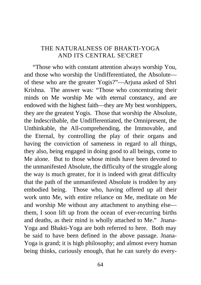## THE NATURALNESS OF BHAKTI-YOGA AND ITS CENTRAL SE'CRET

"Those who with constant attention always worship You, and those who worship the Undifferentiated, the Absolute of these who are the greater Yogis?"—Arjuna asked of Shri Krishna. The answer was: "Those who concentrating their minds on Me worship Me with eternal constancy, and are endowed with the highest faith—they are My best worshippers, they are the greatest Yogis. Those that worship the Absolute, the Indescribable, the Undifferentiated, the Omnipresent, the Unthinkable, the All-comprehending, the Immovable, and the Eternal, by controlling the play of their organs and having the conviction of sameness in regard to all things, they also, being engaged in doing good to all beings, come to Me alone. But to those whose minds have been devoted to the unmanifested Absolute, the difficulty of the struggle along the way is much greater, for it is indeed with great difficulty that the path of the unmanifested Absolute is trodden by any embodied being. Those who, having offered up all their work unto Me, with entire reliance on Me, meditate on Me and worship Me without any attachment to anything else them, I soon lift up from the ocean of ever-recurring births and deaths, as their mind is wholly attached to Me." Jnana-Yoga and Bhakti-Yoga are both referred to here. Both may be said to have been defined in the above passage. Jnana-Yoga is grand; it is high philosophy; and almost every human being thinks, curiously enough, that he can surely do every-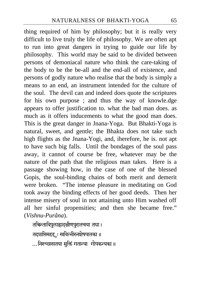thing required of him by philosophy; but it is really very difficult to live truly the life of philosophy. We are often apt to run into great dangers in trying to guide our life by philosophy. This world may be said to be divided between persons of demoniacal nature who think the care-taking of the body to be the be-all and the end-all of existence, and persons of godly nature who realise that the body is simply a means to an end, an instrument intended for the culture of the soul. The devil can and indeed does quote the scriptures for his own purpose ; and thus the way of knowle.dge appears to offer justification to. what the bad man does. as much as it offers inducements to what the good man does. This is the great danger in Jnana-Yoga. But Bhakti-Yoga is natural, sweet, and gentle; the Bhakta does not take such high flights as the Jnana-Yogi, and, iherefore, he is. not apt to have such big falls. Until the bondages of the soul pass away, it cannot of course be free, whatever may be the nature of the path that the religious man takes. Here is a passage showing how, in the case of one of the blessed Gopis, the soul-binding chains of both merit and demerit were broken. "The intense pleasure in meditating on God took away the binding effects of her good deeds. Then her intense misery of soul in not attaining unto Him washed off all her sinful propensities; and then she became free." (*Vishnu-Purâna*).

```
तचिन्ताविपुलाह्लादक्षीणपुरातचया तघा।
तदप्राप्तिमहद्दः खवित्नीरनशेषपातका ॥
...निरूच्छासतया मुक्तिं गतान्या गोपकन्यका ॥
```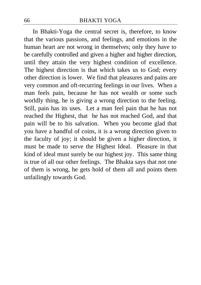In Bhakti-Yoga the central secret is, therefore, to know that the various passions, and feelings, and emotions in the human heart are not wrong in themselves; only they have to be carefully controlled and given a higher and higher direction, until they attain the very highest condition of excellence. The highest direction is that which takes us to God; every other direction is lower. We find that pleasures and pains are very common and oft-recurring feelings in our lives. When a man feels pain, because he has not wealth or some such worldly thing, he is giving a wrong direction to the feeling. Still, pain has its uses. Let a man feel pain that he has not reached the Highest, that he has not reached God, and that pain will be to his salvation. When you become glad that you have a handful of coins, it is a wrong direction given to the faculty of joy; it should be given a higher direction, it must be made to serve the Highest Ideal. Pleasure in that kind of ideal must surely be our highest joy. This same thing is true of all our other feelings. The Bhakta says that not one of them is wrong, he gets hold of them all and points them unfailingly towards God.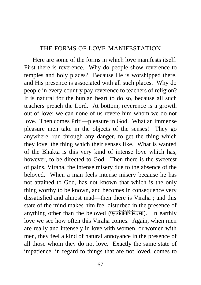#### THE FORMS OF LOVE-MANIFESTATION

Here are some of the forms in which love manifests itself. First there is reverence. Why do people show reverence to temples and holy places? Because He is worshipped there, and His presence is associated with all such places. Why do people in every country pay reverence to teachers of religion? It is natural for the hunlan heart to do so, because all such teachers preach the Lord. At bottom, reverence is a growth out of love; we can none of us revere him whom we do not love. Then comes Priti—pleasure in God. What an immense pleasure men take in the objects of the senses! They go anywhere, run through any danger, to get the thing which they love, the thing which their senses like. What is wanted of the Bhakta is this very kind of intense love which has, however, to be directed to God. Then there is the sweetest of pains, Viraha, the intense misery due to the absence of the beloved. When a man feels intense misery because he has not attained to God, has not known that which is the only thing worthy to be known, and becomes in consequence very dissatisfied and almost mad—then there is Viraha ; and this state of the mind makes him feel disturbed in the presence of anything other than the beloved (एकरतियिचिकित्सा). In earthly love we see how often this Viraha comes. Again, when men are really and intensely in love with women, or women with men, they feel a kind of natural annoyance in the presence of all those whom they do not love. Exactly the same state of impatience, in regard to things that are not loved, comes to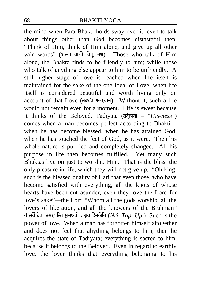the mind when Para-Bhakti holds sway over it; even to talk about things other than God becomes distasteful then. "Think of Him, think of Him alone, and give up all other vain words" (अन्या वाचो विमुं चथ). Those who talk of Him alone, the Bhakta finds to be friendly to him; while those who talk of anything else appear to him to be unfriendly. A still higher stage of love is reached when life itself is maintained for the sake of the one Ideal of Love, when life itself is considered beautiful and worth living only on account of that Love (तदर्थप्राणसंस्थान). Without it, such a life would not remain even for a moment. Life is sweet because it thinks of the Beloved. Tadiyata (तदीयता = "*His-ness*") comes when a man becomes perfect according to Bhakti when he has become blessed, when he has attained God, when he has touched the feet of God, as it were. Then his whole nature is purified and completely changed. All his purpose in life then becomes fulfilled. Yet many such Bhaktas live on just to worship Him. That is the bliss, the only pleasure in life, which they will not give up. "Oh king, such is the blessed quality of Hari that even those, who have become satisfied with everything, all the knots of whose hearts have been cut asunder, even they love the Lord for love's sake"—the Lord "Whom all the gods worship, all the lovers of liberation, and all the knowers of the Brahman" यं सर्वे देवा नमरयन्ति मुमुक्षवी ब्रह्मवादिनश्चेति (Nri. Tap. Up.) Such is the power of love. When a man has forgotten himself altogether and does not feel that ahything belongs to him, then he acquires the state of Tadiyata; everything is sacred to him, because it belongs to the Beloved. Even in regard to earthly love, the lover thinks that everything belonging to his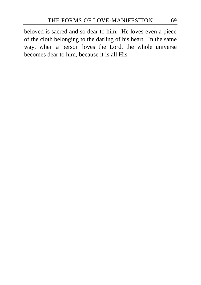beloved is sacred and so dear to him. He loves even a piece of the cloth belonging to the darling of his heart. In the same way, when a person loves the Lord, the whole universe becomes dear to him, because it is all His.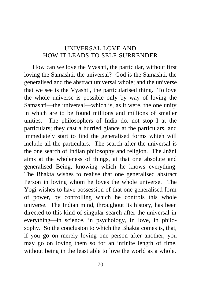# UNIVERSAL LOVE AND HOW IT LEADS TO SELF-SURRENDER

How can we love the Vyashti, the particular, without first loving the Samashti, the universal? God is the Samashti, the generalised and the abstract universal whole; and the universe that we see is the Vyashti, the particularised thing. To love the whole universe is possible only by way of loving the Samashti—the universal—which is, as it were, the one unity in which are to be found millions and millions of smaller unities. The philosophers of India do. not stop I at the particulars; they cast a hurried glance at the particulars, and immediately start to find the generalised forms whieh will include all the particulars. The search after the universal is the one search of Indian philosophy and religion. The Jnâni aims at the wholeness of things, at that one absolute and generalised Being, knowing which he knows everything. The Bhakta wishes to realise that one generalised abstract Person in loving whom he loves the whole universe. The Yogi wishes to have possession of that one generalised form of power, by controlling which he controls this whole universe. The Indian mind, throughout its history, has been directed to this kind of singular search after the universal in everything—in science, in psychology, in love, in philosophy. So the conclusion to which the Bhakta comes is, that, if you go on merely loving one person after another, you may go on loving them so for an infinite length of time, without being in the least able to love the world as a whole.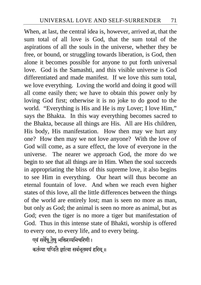When, at last, the central idea is, however, arrived at, that the sum total of all love is God, that the sum total of the aspirations of all the souls in the universe, whether they be free, or bound, or struggling towards liberation, is God, then alone it becomes possible for anyone to put forth universal love. God is the Samashti, and this visible universe is God differentiated and made manifest. If we love this sum total, we love everything. Loving the world and doing it good will all come easily then; we have to obtain this power only by loving God first; otherwise it is no joke to do good to the world. "Everything is His and He is my Lover; I love Him," says the Bhakta. In this way everything becomes sacred to the Bhakta, because all things are His. All are His children, His body, His manifestation. How then may we hurt any one? How then may we not love anyone? With the love of God will come, as a sure effect, the love of everyone in the universe. The nearer we approach God, the more do we begin to see that all things are in Him. When the soul succeeds in appropriating the bliss of this supreme love, it also begins to see Him in everything. Our heart will thus become an eternal fountain of love. And when we reach even higher states of this love, all the little differences between the things of the world are entirely lost; man is seen no more as man, but only as God; the animal is seen no more as animal, but as God; even the tiger is no more a tiger but manifestation of God. Thus in this intense state of Bhakti, worship is offered to every one, to every life, and to every being.

एवं सर्वेषु तेषु भक्तिरव्यभिचरिणी।

कर्तव्या पप्डिते ज्ञांत्वा सर्बभूतमयं हरिम् ॥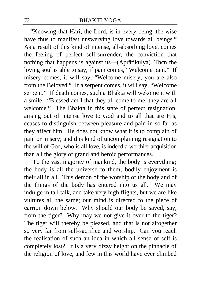—"Knowing that Hari, the Lord, is in every being, the wise have thus to manifest unswerving love towards all beings." As a result of this kind of intense, all-absorbing love, comes the feeling of perfect self-surrender, the conviction that nothing that happens is against us—(Aprâtikulya). Thcn the loving soul is able to say, if pain comes, "Welcome pain." If misery comes, it will say, "Welcome misery, you are also from the Beloved." If a serpent comes, it will say, "Welcome serpent." If death comes, such a Bhakta will wekome it with a smile. "Blessed am I that they all come to me; they are all welcome." The Bhakta in this state of perfect resignation, arising out of intense love to God and to all that are His, ceases to distinguish between pleasure and pain in so far as they affect him. He does not know what it is to complain of pain or misery; and this kind of uncomplaining resignation to the will of God, who is all love, is indeed a worthier acquisition than all the glory of grand and heroic performances.

To the vast majority of mankind, the body is everything; the body is all the universe to them; bodily enjoyment is their all in all. This demon of the worship of the body and of the things of the body has entered into us all. We may indulge in tall talk, and take very high flights, but we are like vultures all the same; our mind is directed to the piece of carrion down below. Why should our body be saved, say, from the tiger? Why may we not give it over to the tiger? The tiger will thereby be pleased, and that is not altogether so very far from self-sacrifice and worship. Can you reach the realisation of such an idea in which all sense of self is completely lost? It is a very dizzy height on the pinnacle of the religion of love, and few in this world have ever climbed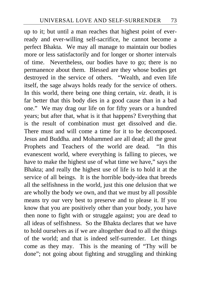up to it; but until a man reaches that highest point of everready and ever-willing self-sacrifice, he cannot become a perfect Bhakta. We may all manage to maintain our bodies more or less satisfactorily and for longer or shorter intervals of time. Nevertheless, our bodies have to go; there is no permanence about them. Blessed are they whose bodies get destroyed in the service of others. "Wealth, and even life itself, the sage always holds ready for the service of others. In this world, there being one thing certain, *viz*. death, it is far better that this body dies in a good cause than in a bad one." We may drag our life on for fifty years or a hundred years; but after that, what is it that happens? Everything that is the result of combination must get dissolved and die. There must and will come a time for it to be decomposed. Jesus and Buddha. and Mohammed are all dead; all the great Prophets and Teachers of the world are dead. "In this evanescent world, where everything is falling to pieces, we have to make the highest use of what time we have," says the Bhakta; and really the highest use of life is to hold it at the service of all beings. It is the horrible body-idea that breeds all the selfishness in the world, just this one delusion that we are wholly the body we own, and that we must by all possible means try our very best to preserve and to please it. If you know that you are positively other than your body, you have then none to fight with or struggle against; you are dead to all ideas of selfishness. So the Bhakta declares that we have to hold ourselves as if we are altogether dead to all the things of the world; and that is indeed self-surrender. Let things come as they may. This is the meaning of "Thy will be done"; not going about fighting and struggling and thinking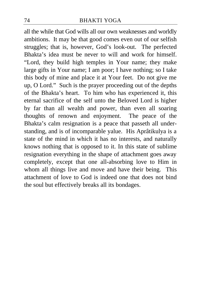all the while that God wills all our own weaknesses and worldly ambitions. It may be that good comes even out of our selfish struggles; that is, however, God's look-out. The perfected Bhakta's idea must be never to will and work for himself. "Lord, they build high temples in Your name; they make large gifts in Your name; I am poor; I have nothing; so I take this body of mine and place it at Your feet. Do not give me up, O Lord." Such is the prayer proceeding out of the depths of the Bhakta's heart. To him who has experienced it, this eternal sacrifice of the self unto the Beloved Lord is higher by far than all wealth and power, than even all soaring thoughts of renown and enjoyment. The peace of the Bhakta's calm resignation is a peace that passeth all understanding, and is of incomparable yalue. His Aprâtikulya is a state of the mind in which it has no interests, and naturally knows nothing that is opposed to it. In this state of sublime resignation everything in the shape of attachment goes away completely, except that one all-absorbing love to Him in whom all things live and move and have their being. This attachment of love to God is indeed one that does not bind the soul but effectively breaks all its bondages.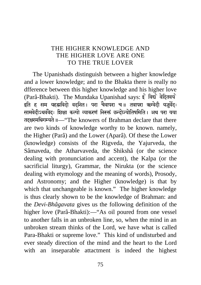## THE HIGHER KNOWLEDGE AND THE HIGHER LOVE ARE ONE TO THE TRUE LOVER

The Upanishads distinguish between a higher knowledge and a lower knowledge; and to the Bhakta there is really no dfference between this higher knowledge and his higher love (Parâ-Bhakti). The Mundaka Upanishad says: इे विद्ये वेदितवये इति ह सम यहह्मविदो वदनित। परा चैवापरा च॥ तत्रापरा ऋग्वेदी यज़ुर्वेदः सामवेदीऽथर्ववेदः शिक्षा कल्पो व्याकरणं निरूक्तं छन्दोज्योतिषमिति । अथ परा यया तदक्षरमथिगम्यते ॥— "The knowers of Brahman declare that there are two kinds of knowledge worthy to be known. namely, the Higher (Parâ) and the Lower (Aparâ). Of these the Lower (knowledge) consists of the Rigveda, the Yajurveda, the Sâmaveda, the Atharvaveda, the Shikshâ (or the science dealing with pronunciation and accent), the Kalpa (or the sacrificial liturgy), Grammar, the Nirukta (or the science dealing with etymology and the meaning of words), Prosody, and Astronomy; and the Higher (knowledge) is that by which that unchangeable is known." The higher knowledge is thus clearly shown to be the knowledge of Brahman: and the *Devi-Bhâgavata* gives us the following definition of the higher love (Parâ-Bhakti):—"As oil poured from one vessel to another falls in an unbroken line, so, when the mind in an unbroken stream thinks of the Lord, we have what is called Para-Bhakti or supreme love." This kind of undisturbed and ever steady direction of the mind and the heart to the Lord with an inseparable attactment is indeed the highest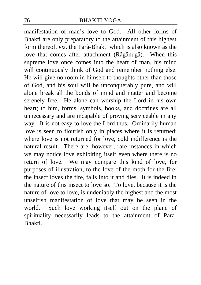manifestation of man's love to God. All other forms of Bhakti are only preparatory to the attainment of this highest form thereof, *viz*. the Parâ-Bhakti which is also known as the love that comes after attachment (Râgânugâ). When this supreme love once comes into the heart of man, his mind will continuously think of God and remember nothing else. He will give no room in himself to thoughts other than those of God, and his soul will be unconquerably pure, and will alone break all the bonds of mind and matter and become serenely free. He alone can worship the Lord in his own heart; to him, forms, symbols, books, and doctrines are all unnecessary and are incapable of proving serviceable in any way. It is not easy to love the Lord thus. Ordinarily human love is seen to flourish only in places where it is returned; where love is not returned for love, cold indifference is the natural result. There are, however, rare instances in which we may notice love exhibiting itself even where there is no return of love. We may compare this kind of love, for purposes of illustration, to the love of the moth for the fire; the insect loves the fire, falls into it and dies. It is indeed in the nature of this insect to love so. To love, because it is the nature of love to love, is undeniably the highest and the most unselfish manifestation of love that may be seen in the world. Such love working itself out on the plane of spirituality necessarily leads to the attainment of Para-Bhakti.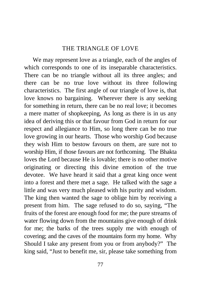#### THE TRIANGLE OF LOVE

We may represent love as a triangle, each of the angles of which corresponds to one of its inseparable characteristics. There can be no triangle without all its three angles; and there can be no true love without its three following characteristics. The first angle of our triangle of love is, that love knows no bargaining. Wherever there is any seeking for something in return, there can be no real love; it becomes a mere matter of shopkeeping, As long as there is in us any idea of deriving this or that favour from God in return for our respect and allegiance to Him, so long there can be no true love growing in our hearts. Those who worship God because they wish Him to bestow favours on them, are sure not to worship Him, if those favours are not forthcoming. The Bhakta loves the Lord because He is lovable; there is no other motive originating or directing this divine emotion of the true devotee. We have heard it said that a great king once went into a forest and there met a sage. He talked with the sage a little and was very much pleased with his purity and wisdom. The king then wanted the sage to oblige him by receiving a present from him. The sage refused to do so, saying, "The fruits of the forest are enough food for me; the pure streams of water flowing down from the mountains give enough of drink for me; the barks of the trees supply me with enough of covering; and the caves of the mountains form my home. Why Should I take any present from you or from anybody?" The king said, "Just to benefit me, sir, please take something from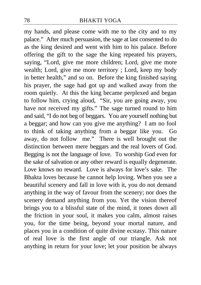my hands, and please come with me to the city and to my palace." After much persuasion, the sage at last consented to do as the king desired and went with him to his palace. Before offering the gift to the sage the king repeated his prayers, saying, "Lord, give me more children; Lord, give me more wealth; Lord, give me more territory ; Lord, keep my body in better health," and so on. Before the king finished saying his prayer, the sage had got up and walked away from the room quietly. At this the king became perplexed and began to follow him, crying aloud, "Sir, you are going away, you have not received my gifts." The sage turned round to him and said, "I do not beg of beggars. You are yourself nothing but a beggar; and how can you give me anything? I am no fool to think of taking anything from a beggar like you. Go away, do not follow me." There is well brought out the distinction between mere beggars and the real lovers of God. Begging is not the language of love. To worship God even for the sake of salvation or any other reward is equally degenerate. Love knows no reward. Love is always for love's sake. The Bhakta loves because he cannot help loving. When you see a beautiful scenery and fall in love with it, you do not demand anything in the way of favour from the scenery; nor does the scenery demand anything from you. Yet the vision thereof brings you to a blissful state of the mind, it tones down all the friction in your soul, it makes you calm, almost raises you, for the time being, beyond your mortal nature, and places you in a condition of quite divine ecstasy. This nature of real love is the first angle of our triangle. Ask not anything in return for your love; let your position be always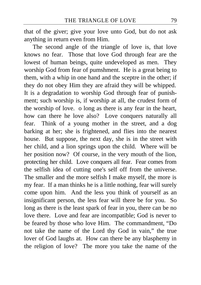that of the giver; give your love unto God, but do not ask anything in return even from Him.

The second angle of the triangle of love is, that love knows no fear. Those that love God through fear are the lowest of human beings, quite undeveloped as men. They worship God from fear of pumshment. He is a great being to them, with a whip in one hand and the sceptre in the other; if they do not obey Him they are afraid they will be whipped. It is a degradation to worship God through fear of punishment; such worship is, if worship at all, the crudest form of the worship of love. o long as there is any fear in the heart, how can there he love also? Love conquers naturally all fear. Think of a young mother in the street, and a dog barking at her; she is frightened, and flies into the nearest house. But suppose, the next day, she is in the street with her child, and a lion springs upon the child. Where will be her position now? Of course, in the very mouth of the lion, protecting her child. Love conquers all fear. Fear comes from the selfish idea of cutting one's self off from the universe. The smaller and the more selfish I make myself, the more is my fear. If a man thinks he is a little nothing, fear will surely come upon him. And the less you think of yourself as an insignificant person, the less fear will there be for you. So long as there is the least spark of fear in you, there can be no love there. Love and fear are incompatible; God is never to be feared by those who love Him. The commandment, "Do not take the name of the Lord thy God in vain," the true lover of God laughs at. How can there be any blasphemy in the religion of love? The more you take the name of the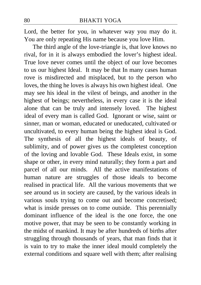Lord, the better for you, in whatever way you may do it. You are only repeating His name because you love Him.

The third angle of the love-triangle is, that love knows no rival, for in it is always embodied the lover's highest ideal. True love never comes until the object of our love becomes to us our highest Ideal. It may be that In many cases human rove is misdirected and misplaced, but to the person who loves, the thing he loves is always his own highest ideal. One may see his ideal in the vilest of beings, and another in the highest of beings; nevertheless, in every case it is the ideal alone that can be truly and intensely loved. The highest ideal of every man is called God. Ignorant or wise, saint or sinner, man or woman, educated or uneducated, cultivated or uncultivated, to every human being the highest ideal is God. The synthesis of all the highest ideals of beauty, of sublimity, and of power gives us the completest conception of the loving and lovable God. These Ideals exist, in some shape or other, in every mind naturally; they form a part and parcel of all our minds. All the active manifestations of human nature are struggles of those ideals to become realised in practical life. All the various movements that we see around us in society are caused, by the various ideals in various souls trying to come out and become concretised; what is inside presses on to come outside. This perennially dominant influence of the ideal is the one force, the one motive power, that may be seen to be constantly working in the midst of mankind. It may be after hundreds of births after struggling through thousands of years, that man finds that it is vain to try to make the inner ideal mould completely the external conditions and square well with them; after realising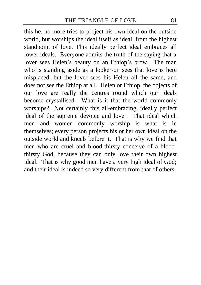this he. no more tries to project his own ideal on the outside world, but worships the ideal itself as ideal, from the highest standpoint of love. This ideally perfect ideal embraces all lower ideals. Everyone admits the truth of the saying that a lover sees Helen's beauty on an Ethiop's brow. The man who is standing aside as a looker-on sees that love is here misplaced, but the lover sees his Helen all the same, and does not see the Ethiop at all. Helen or Ethiop, the objects of our love are really the centres round which our ideals become crystallised. What is it that the world commonly worships? Not certainly this all-embracing, ideally perfect ideal of the supreme devotee and lover. That ideal which men and women commonly worship is what is in themselves; every person projects his or her own ideal on the outside world and kneels before it. That is why we find that men who are cruel and blood-thirsty conceive of a bloodthirsty God, because they can only love their own highest ideal. That is why good men have a very high ideal of God; and their ideal is indeed so very different from that of others.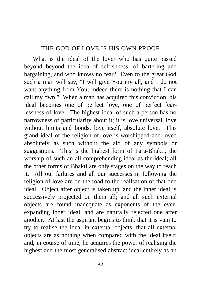### THE GOD OF LOVE IS HIS OWN PROOF

What is the ideal of the lover who has quite passed beyond beyond the idea of selfishness, of bartering and bargaining, and who knows no fear? Even to the great God such a man will say, "I will give You my all, and I do not want anything from You; indeed there is nothing that I can call my own." When a man has acquired this conviction, his ideal becomes one of perfect love, one of perfect fearlessness of love. The highest ideal of such a person has no narrowness of particularity about it; it is love universal, love without limits and bonds, love itself, absolute love. This grand ideal of the religion of love is worshipped and loved absolutely as such without the aid of any symbols or suggestions. This is the highest form of Para-Bhakti, the worship of such an all-comprehending ideal as the ideal; all the other forms of Bhakti are only stages on the way to reach it. All our failures and all our successes in following the religion of love are on the road to the reallsatlon of that one ideal. Object after object is taken up, and the inner ideal is successively projected on them all; and all such external objects are found inadequate as exponents of the everexpanding inner ideal, and are naturally rejected one after another. At last the aspirant begins to think that it is vain to try to realise the ideal in external objects, that all external objects are as nothing when compared with the ideal itself; and, in course of time, he acquires the power of realising the highest and the most generalised abstract ideal entirely as an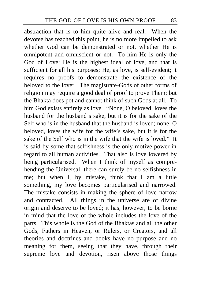abstraction that is to him quite alive and real. When the devotee has reached this point, he is no more impelled to ask whether God can be demonstrated or not, whether He is omnipotent and omniscient or not. To him He is only the God of Love: He is the highest ideal of love, and that is sufficient for all his purposes; He, as love, is self-evident; it requires no proofs to demonstrate the existence of the beloved to the lover. The magistrate-Gods of other forms of religion may require a good deal of proof to prove Them; but the Bhakta does pot and cannot think of such Gods at all. To him God exists entirely as love. "None, O beloved, loves the husband for the husband's sake, but it is for the sake of the Self who is in the husband that the husband is loved; none, O beloved, loves the wife for the wife's sake, but it is for the sake of the Self who is in the wife that the wife is loved." It is said by some that selfishness is the only motive power in regard to all human activities. That also is love lowered by being particularised. When I think of myself as comprehending the Universal, there can surely be no selfishness in me; but when I, by mistake, think that I am a little something, my love becomes particularised and narrowed. The mistake consists in making the sphere of love narrow and contracted. All things in the universe are of divine origin and deserve to be loved; it has, however, to be borne in mind that the love of the whole includes the love of the parts. This whole is the God of the Bhaktas and all the other Gods, Fathers in Heaven, or Rulers, or Creators, and all theories and doctrines and books have no purpose and no meaning for them, seeing that they have, through their supreme love and devotion, risen above those things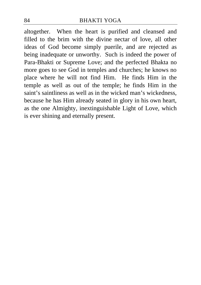altogether. When the heart is purified and cleansed and filled to the brim with the divine nectar of love, all other ideas of God become simply puerile, and are rejected as being inadequate or unworthy. Such is indeed the power of Para-Bhakti or Supreme Love; and the perfected Bhakta no more goes to see God in temples and churches; he knows no place where he will not find Him. He finds Him in the temple as well as out of the temple; he finds Him in the saint's saintliness as well as in the wicked man's wickedness, because he has Him already seated in glory in his own heart, as the one Almighty, inextinguishable Light of Love, which is ever shining and eternally present.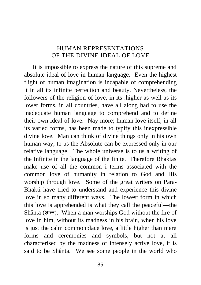## HUMAN REPRESENTATIONS OF THE DIVINE IDEAL OF LOVE

It is impossible to express the nature of this supreme and absolute ideal of love in human language. Even the highest flight of human imagination is incapable of comprehending it in all its infinite perfection and beauty. Nevertheless, the followers of the religion of love, in its .higher as well as its lower forms, in all countries, have all along had to use the inadequate human language to comprehend and to define their own ideal of love. Nay more; human love itself, in all its varied forms, has been made to typify this inexpressible divine love. Man can think of divine things only in his own human way; to us the Absolute can be expressed only in our relative language. The whole universe is to us a writing of the Infinite in the language of the finite. Therefore Bhaktas make use of all the common i terms associated with the common love of humanity in relation to God and His worship through love. Some of the great writers on Para-Bhakti have tried to understand and experience this divine love in so many different ways. The lowest form in which this love is apprehended is what they call the peaceful—the Shânta (शान्त). When a man worships God without the fire of love in him, without its madness in his brain, when his love is just the calm commonplace love, a little higher than mere forms and ceremonies and symbols, but not at all characterised by the madness of intensely active love, it is said to be Shânta. We see some people in the world who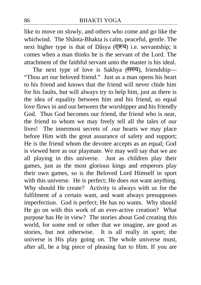like to move on slowly, and others who come and go like the whirlwind. The Shânta-Bhakta is calm, peaceful, gentle. The next higher type is that of Dâsya (दास्य) i.e. servantship; it comes when a man thinks he is the servant of the Lord. The attachment of the faithful servant unto the master is his ideal.

The next type of love is Sakhya (सख्य), friendship— "Thou art our beloved friend." Just as a man opens his heart to his friend and knows that the friend will never chide him for his faults, but will always try to help him, just as there is the idea of equality between him and his friend, so equal love flows in and out between the worshipper and his friendly God. Thus God becomes our friend, the friend who is near, the friend to whom we may freely tell all the tales of our lives! The innermost secrets of .our hearts we may place before Him with the great assurance of safety and support; He is the friend whom the devotee accepts as an equal; God is viewed here as our playmate. We may well say that we are all playing in this universe. Just as children play their games, just as the most glorious kings and emperors play their own games, so is the Beloved Lord Himself in sport with this universe. He is perfect; He does not want anything. Why should He create? Activity is always with us for the fulfilment of a certain want, and want always presupposes imperfection. God is perfect; He has no wants. Why should He go on with this work of an ever-active creation? What purpose has He in view? The stories about God creating this world, for some end or other that we imagine, are good as stories, but not otherwise. It is all really in sport; the universe is His play going on. The whole universe must, after all, be a big piece of pleasing fun to Him. If you are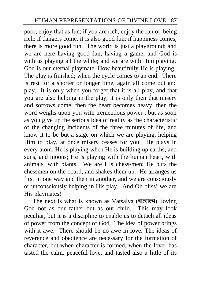poor, enjoy that as fun; if you are rich, enjoy the fun of being rich; if dangers come, it is also good fun; if happiness comes, there is more good fun. The world is just a playground; and we are here having good fun, having a game; and God is with us playing all the while; and we are with Him playing. God is our eternal playmate. How beautifully He is playing! The play is finished; when the cycle comes to an end. There is rest for a shorter or longer time, again all come out and play. It is only when you forget that it is all play, and that you are also helping in the play, it is only then that misery and sorrows come; then the heart becomes heavy, then the word weighs upon you with tremendous power ; but as soon as you give up the serious idea of reality as the characteristic of the changing incidents of the three minutes of life, and know it to be but a stage on which we are playing, helping Him to play, at once misery ceases for you. He plays in every atom; He is playing when He is building up earths, and suns, and moons; He is playing with the human heart, with animals, with plants. We are His chess-men; He puts the chessmen on the board, and shakes them up. He arranges us first in one way and then in another, and we are consciously or unconsciously helping in His play. And Oh bliss! we are His playmates!

The next is what is known as Vatsalya (वात्सल्य), loving God not as our father but as our child. This may look peculiar, but it is a discipline to enable us to detach all ideas of power from the concept of God. The idea of power brings with it awe. There should be no awe in love. The ideas of reverence and obedience are necessary for the formation of character, but when character is formed, when the lover has tasted the calm, peaceful love, and tasted also a little of its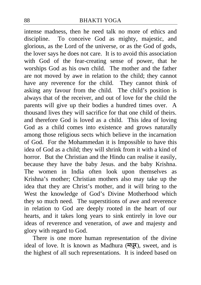intense madness, then he need talk no more of ethics and discipline. To conceive God as mighty, majestic, and glorious, as the Lord of the universe, or as the God of gods, the lover says he does not care. It is to avoid this association with God of the fear-creating sense of power, that he worships God as his own child. The mother and the father are not moved by awe in relation to the child; they cannot have any reverence for the child. They cannot think of asking any favour from the child. The child's position is always that of the receiver, and out of love for the child the parents will give up their bodies a hundred times over. A thousand lives they will sacrifice for that one child of theirs. and therefore God is loved as a child. This idea of loving God as a child comes into existence and grows naturally among those religious sects which believe in the incarnation of God. For the Mohammedan it is Impossible to have this idea of God as a child; they will shrink from it with a kind of horror. But the Christian and the Hindu can realise it easily, because they have the baby Jesus. and the baby Krishna. The women in India often look upon themselves as Krishna's mother; Christian mothers also may take up the idea that they are Christ's mother, and it will bring to the West the knowledge of God's Divine Motherhood which they so much need. The superstitions of awe and reverence in relation to God are deeply rooted in the heart of our hearts, and it takes long years to sink entirely in love our ideas of reverence and veneration, of awe and majesty and glory with regard to God.

There is one more human representation of the divine ideal of love. It is known as Madhura  $(H\overline{H})$ , sweet, and is the highest of all such representations. It is indeed based on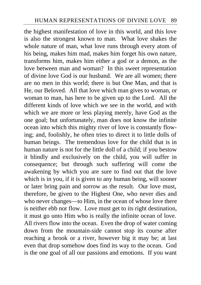the highest manifestation of love in this world, and this love is also the strongest known to man. What love shakes the whole nature of man, what love runs through every atom of his being, makes him mad, makes him forget his own nature, transforms him, makes him either a god or a demon, as the love between man and woman? In this sweet representation of divine love God is our husband. We are all women; there are no men in this world; there is but One Man, and that is He, our Beloved. All that love which man gives to woman, or woman to man, has here to be given up to the Lord. All the different kinds of love which we see in the world, and with which we are more or less playing merely, have God as the one goal; but unfortunately, man does not know the infinite ocean into which this mighty river of love is constantly flowing; and, foolishly, he often tries to direct it to little dolls of human beings. The tremendous love for the child that is in human nature is not for the little doll of a child; if you bestow it blindly and exclusively on the child, you will suffer in consequence; but through such suffering will come the awakening by which you are sure to find out that the love which is in you, if it is given to any human being, will sooner or later bring pain and sorrow as the result. Our love must, therefore, be given to the Highest One, who never dies and who never changes—to Him, in the ocean of whose love there is neither ebb nor flow. Love must get to its right destination, it must go unto Him who is really the infinite ocean of love. All rivers flow into the ocean. Even the drop of water coming down from the mountain-side cannot stop its course after reaching a brook or a river, however big it may be; at last even that drop somehow does find its way to the ocean. God is the one goal of all our passions and emotions. If you want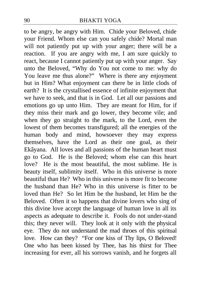to be angry, be angry with Him. Chide your Beloved, chide your Friend. Whom else can you safely chide? Mortal man will not patiently put up with your anger; there will be a reaction. If you are angry with me, I am sure quickly to react, because I cannot patiently put up with your anger. Say unto the Beloved, "Why do You not come to me: why do You leave me thus alone?" Where is there any enjoyment but in Him? What enjoyment can there be in little clods of earth? It is the crystallised essence of infinite enjoyment that we have to seek, and that is in God. Let all our passions and emotions go up unto Him. They are meant for Him, for if they miss their mark and go lower, they become vile; and when they go straight to the mark, to the Lord, even the lowest of them becomes transfigured; all the energies of the human body and mind, howsoever they may express themselves, have the Lord as their one goal, as their Ekâyana. All loves and all passions of the human heart must go to God. He is the Beloved; whom else can this heart love? He is the most beautiful, the most sublime. He is beauty itself, sublimity itself. Who in this universe is more beautiful than He? Who in this universe is more fit to become the husband than He? Who in this universe is fitter to be loved than He? So let Him be the husband, let Him be the Beloved. Often it so happens that divine lovers who sing of this divine love accept the language of human love in all its aspects as adequate to describe it. Fools do not under-stand this; they never will. They look at it only with the physical eye. They do not understand the mad throes of this spiritual love. How can they? "For one kiss of Thy lips, O Beloved! One who has been kissed by Thee, has his thirst for Thee increasing for ever, all his sorrows vanish, and he forgets all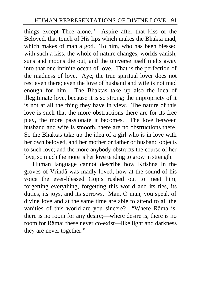things except Thee alone." Aspire after that kiss of the Beloved, that touch of His lips which makes the Bhakta mad, which makes of man a god. To him, who has been blessed with such a kiss, the whole of nature changes, worlds vanish, suns and moons die out, and the universe itself melts away into that one infinite ocean of love. That is the perfection of the madness of love. Aye; the true spiritual lover does not rest even there; even the love of husband and wife is not mad enough for him. The Bhaktas take up also the idea of illegitimate love, because it is so strong; the impropriety of it is not at all the thing they have in view. The nature of this love is such that the more obstructions there are for its free play, the more passionate it becomes. The love between husband and wife is smooth, there are no obstructions there. So the Bhaktas take up the idea of a girl who is in love with her own beloved, and her mother or father or husband objects to such love; and the more anybody obstructs the course of her love, so much the more is her love tending to grow in strength.

Human language cannot describe how Krishna in the groves of Vrindâ was madly loved, how at the sound of his voice the ever-blessed Gopis rushed out to meet him, forgetting everything, forgetting this world and its ties, its duties, its joys, and its sorrows. Man, O man, you speak of divine love and at the same time are able to attend to all the vanities of this world-are you sincere? "Where Râma is, there is no room for any desire;—where desire is, there is no room for Râma; these never co-exist—like light and darkness they are never together."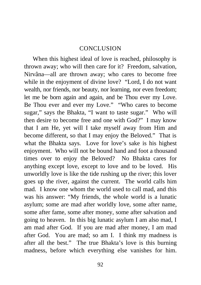### **CONCLUSION**

When this highest ideal of love is reached, philosophy is thrown away; who will then care for it? Freedom, salvation, Nirvâna—all are thrown away; who cares to become free while in the enjoyment of divine love? "Lord, I do not want wealth, nor friends, nor beauty, nor learning, nor even freedom; let me be born again and again, and be Thou ever my Love. Be Thou ever and ever my Love." "Who cares to become sugar," says the Bhakta, "I want to taste sugar." Who will then desire to become free and one with God?" I may know that I am He, yet will I take myself away from Him and become different, so that I may enjoy the Beloved." That is what the Bhakta says. Love for love's sake is his highest enjoyment. Who will not be bound hand and foot a thousand times over to enjoy the Beloved? No Bhakta cares for anything except love, except to love and to be loved. His unworldly love is like the tide rushing up the river; this lover goes up the river, against the current. The world calls him mad. I know one whom the world used to call mad, and this was his answer: "My friends, the whole world is a lunatic asylum; some are mad after worldly love, some after name, some after fame, some after money, some after salvation and going to heaven. In this big lunatic asylum I am also mad, I am mad after God. If you are mad after money, I am mad after God. You are mad; so am I. I think my madness is after all the best." The true Bhakta's love is this burning madness, before which everything else vanishes for him.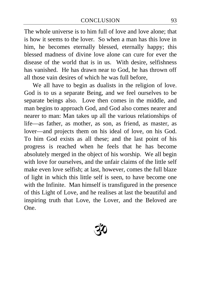The whole universe is to him full of love and love alone; that is how it seems to the lover. So when a man has this love in him, he becomes eternally blessed, eternally happy; this blessed madness of divine love alone can cure for ever the disease of the world that is in us. With desire, selfishness has vanished. He has drawn near to God, he has thrown off all those vain desires of which he was full before,

We all have to begin as dualists in the religion of love. God is to us a separate Being, and we feel ourselves to be separate beings also. Love then comes in the middle, and man begins to approach God, and God also comes nearer and nearer to man: Man takes up all the various relationships of life—as father, as mother, as son, as friend, as master, as lover—and projects them on his ideal of love, on his God. To him God exists as all these; and the last point of his progress is reached when he feels that he has become absolutely merged in the object of his worship. We all begin with love for ourselves, and the unfair claims of the little self make even love selfish; at last, however, comes the full blaze of light in which this little self is seen, to have become one with the Infinite. Man himself is transfigured in the presence of this Light of Love, and he realises at last the beautiful and inspiring truth that Love, the Lover, and the Beloved are One.